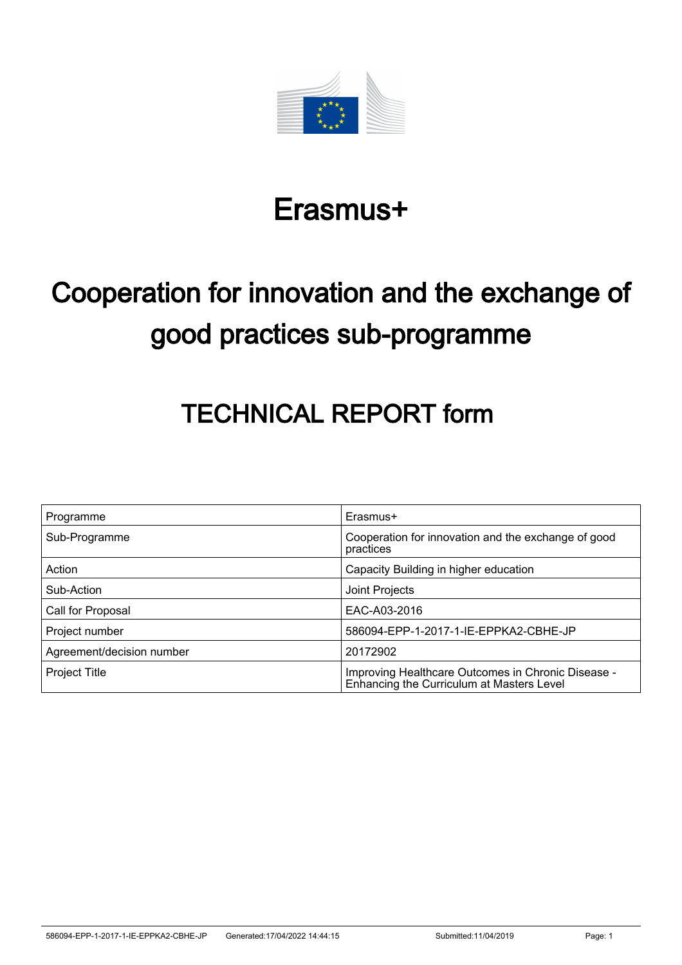

# Erasmus+

# Cooperation for innovation and the exchange of good practices sub-programme

# TECHNICAL REPORT form

| Programme                 | Erasmus+                                                                                        |
|---------------------------|-------------------------------------------------------------------------------------------------|
| Sub-Programme             | Cooperation for innovation and the exchange of good<br>practices                                |
| Action                    | Capacity Building in higher education                                                           |
| Sub-Action                | Joint Projects                                                                                  |
| Call for Proposal         | EAC-A03-2016                                                                                    |
| Project number            | 586094-EPP-1-2017-1-IE-EPPKA2-CBHE-JP                                                           |
| Agreement/decision number | 20172902                                                                                        |
| <b>Project Title</b>      | Improving Healthcare Outcomes in Chronic Disease -<br>Enhancing the Curriculum at Masters Level |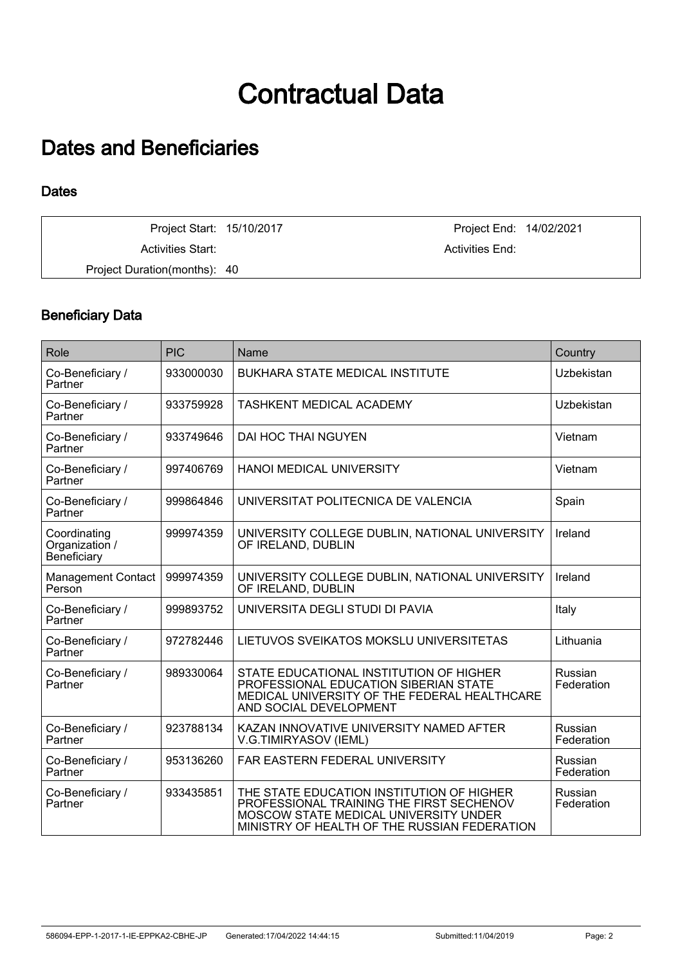# Contractual Data

## Dates and Beneficiaries

#### **Dates**

Activities Start: Activities End: Activities End: Project Duration(months): 40

Project Start: 15/10/2017 Project End: 14/02/2021

## Beneficiary Data

| Role                                          | <b>PIC</b> | Name                                                                                                                                                                           | Country                      |
|-----------------------------------------------|------------|--------------------------------------------------------------------------------------------------------------------------------------------------------------------------------|------------------------------|
| Co-Beneficiary /<br>Partner                   | 933000030  | <b>BUKHARA STATE MEDICAL INSTITUTE</b>                                                                                                                                         | Uzbekistan                   |
| Co-Beneficiary /<br>Partner                   | 933759928  | <b>TASHKENT MEDICAL ACADEMY</b>                                                                                                                                                | Uzbekistan                   |
| Co-Beneficiary /<br>Partner                   | 933749646  | DAI HOC THAI NGUYEN                                                                                                                                                            | Vietnam                      |
| Co-Beneficiary /<br>Partner                   | 997406769  | <b>HANOI MEDICAL UNIVERSITY</b>                                                                                                                                                | Vietnam                      |
| Co-Beneficiary /<br>Partner                   | 999864846  | UNIVERSITAT POLITECNICA DE VALENCIA                                                                                                                                            | Spain                        |
| Coordinating<br>Organization /<br>Beneficiary | 999974359  | UNIVERSITY COLLEGE DUBLIN, NATIONAL UNIVERSITY<br>OF IRELAND, DUBLIN                                                                                                           | Ireland                      |
| <b>Management Contact</b><br>Person           | 999974359  | UNIVERSITY COLLEGE DUBLIN, NATIONAL UNIVERSITY<br>OF IRELAND, DUBLIN                                                                                                           | Ireland                      |
| Co-Beneficiary /<br>Partner                   | 999893752  | UNIVERSITA DEGLI STUDI DI PAVIA                                                                                                                                                | Italy                        |
| Co-Beneficiary /<br>Partner                   | 972782446  | LIETUVOS SVEIKATOS MOKSLU UNIVERSITETAS                                                                                                                                        | Lithuania                    |
| Co-Beneficiary /<br>Partner                   | 989330064  | STATE EDUCATIONAL INSTITUTION OF HIGHER<br>PROFESSIONAL EDUCATION SIBERIAN STATE<br>MEDICAL UNIVERSITY OF THE FEDERAL HEALTHCARE<br>AND SOCIAL DEVELOPMENT                     | <b>Russian</b><br>Federation |
| Co-Beneficiary /<br>Partner                   | 923788134  | KAZAN INNOVATIVE UNIVERSITY NAMED AFTER<br>V.G.TIMIRYASOV (IEML)                                                                                                               | Russian<br>Federation        |
| Co-Beneficiary /<br>Partner                   | 953136260  | <b>FAR EASTERN FEDERAL UNIVERSITY</b>                                                                                                                                          | Russian<br>Federation        |
| Co-Beneficiary /<br>Partner                   | 933435851  | THE STATE EDUCATION INSTITUTION OF HIGHER<br>PROFESSIONAL TRAINING THE FIRST SECHENOV<br>MOSCOW STATE MEDICAL UNIVERSITY UNDER<br>MINISTRY OF HEALTH OF THE RUSSIAN FEDERATION | Russian<br>Federation        |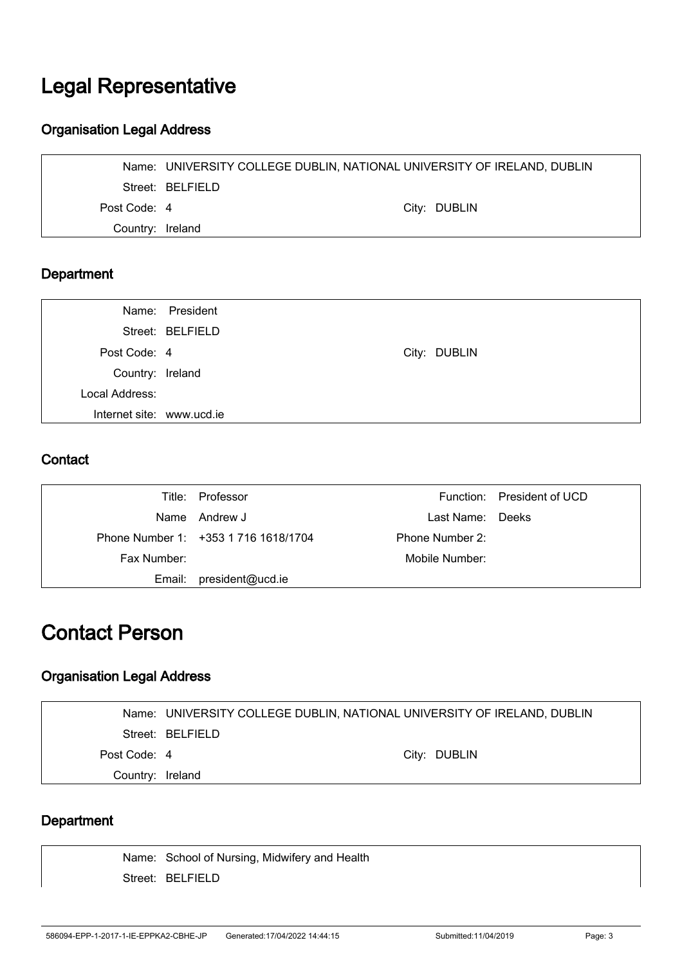## Legal Representative

### Organisation Legal Address

|                  | Name: UNIVERSITY COLLEGE DUBLIN, NATIONAL UNIVERSITY OF IRELAND, DUBLIN |              |
|------------------|-------------------------------------------------------------------------|--------------|
|                  | Street: BELFIELD                                                        |              |
| Post Code: 4     |                                                                         | City: DUBLIN |
| Country: Ireland |                                                                         |              |

## Department

|                           | Name: President  |              |
|---------------------------|------------------|--------------|
|                           | Street: BELFIELD |              |
| Post Code: 4              |                  | City: DUBLIN |
| Country: Ireland          |                  |              |
| Local Address:            |                  |              |
| Internet site: www.ucd.ie |                  |              |
|                           |                  |              |

### **Contact**

|             | Title: Professor                     |                  | Function: President of UCD |
|-------------|--------------------------------------|------------------|----------------------------|
|             | Name Andrew J                        | Last Name: Deeks |                            |
|             | Phone Number 1: +353 1 716 1618/1704 | Phone Number 2:  |                            |
| Fax Number: |                                      | Mobile Number:   |                            |
| Email:      | president@ucd.ie                     |                  |                            |

## Contact Person

## Organisation Legal Address

|                  | Name: UNIVERSITY COLLEGE DUBLIN, NATIONAL UNIVERSITY OF IRELAND, DUBLIN |              |
|------------------|-------------------------------------------------------------------------|--------------|
|                  | Street: BELFIELD                                                        |              |
| Post Code: 4     |                                                                         | City: DUBLIN |
| Country: Ireland |                                                                         |              |
|                  |                                                                         |              |

### **Department**

Name: School of Nursing, Midwifery and Health Street: BELFIELD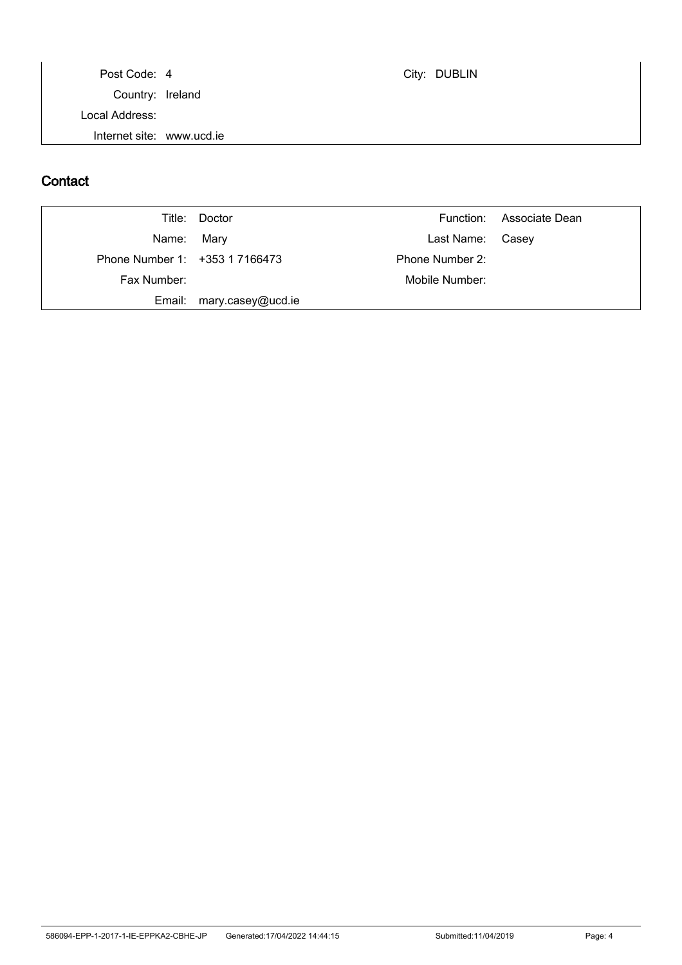Post Code: 4 City: DUBLIN Country: Ireland Local Address: Internet site: www.ucd.ie

### **Contact**

|                                | Title: Doctor     |                  | Function: Associate Dean |
|--------------------------------|-------------------|------------------|--------------------------|
| Name: Mary                     |                   | Last Name: Casey |                          |
| Phone Number 1: +353 1 7166473 |                   | Phone Number 2:  |                          |
| Fax Number:                    |                   | Mobile Number:   |                          |
| Email:                         | mary.casey@ucd.ie |                  |                          |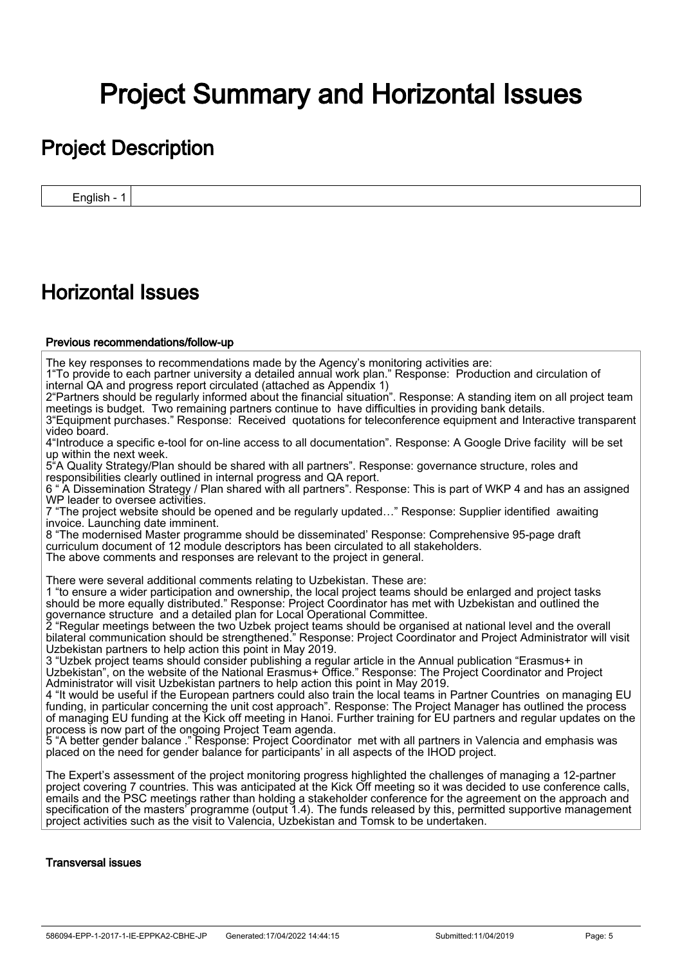# Project Summary and Horizontal Issues

## Project Description

English - 1

## Horizontal Issues

#### Previous recommendations/follow-up

The key responses to recommendations made by the Agency's monitoring activities are:

1"To provide to each partner university a detailed annual work plan." Response: Production and circulation of internal QA and progress report circulated (attached as Appendix 1)

2"Partners should be regularly informed about the financial situation". Response: A standing item on all project team meetings is budget. Two remaining partners continue to have difficulties in providing bank details. 3"Equipment purchases." Response: Received quotations for teleconference equipment and Interactive transparent video board.

4"Introduce a specific e-tool for on-line access to all documentation". Response: A Google Drive facility will be set up within the next week.

5"A Quality Strategy/Plan should be shared with all partners". Response: governance structure, roles and responsibilities clearly outlined in internal progress and QA report.

6 " A Dissemination Strategy / Plan shared with all partners". Response: This is part of WKP 4 and has an assigned WP leader to oversee activities.

7 "The project website should be opened and be regularly updated…" Response: Supplier identified awaiting invoice. Launching date imminent.

8 "The modernised Master programme should be disseminated' Response: Comprehensive 95-page draft curriculum document of 12 module descriptors has been circulated to all stakeholders. The above comments and responses are relevant to the project in general.

There were several additional comments relating to Uzbekistan. These are:

1 "to ensure a wider participation and ownership, the local project teams should be enlarged and project tasks should be more equally distributed." Response: Project Coordinator has met with Uzbekistan and outlined the governance structure and a detailed plan for Local Operational Committee.

2 "Regular meetings between the two Uzbek project teams should be organised at national level and the overall bilateral communication should be strengthened." Response: Project Coordinator and Project Administrator will visit Uzbekistan partners to help action this point in May 2019.

3 "Uzbek project teams should consider publishing a regular article in the Annual publication "Erasmus+ in Uzbekistan", on the website of the National Erasmus+ Office." Response: The Project Coordinator and Project Administrator will visit Uzbekistan partners to help action this point in May 2019.

4 "It would be useful if the European partners could also train the local teams in Partner Countries on managing EU funding, in particular concerning the unit cost approach". Response: The Project Manager has outlined the process of managing EU funding at the Kick off meeting in Hanoi. Further training for EU partners and regular updates on the process is now part of the ongoing Project Team agenda.

5 "A better gender balance ." Response: Project Coordinator met with all partners in Valencia and emphasis was placed on the need for gender balance for participants' in all aspects of the IHOD project.

The Expert's assessment of the project monitoring progress highlighted the challenges of managing a 12-partner project covering 7 countries. This was anticipated at the Kick Off meeting so it was decided to use conference calls, emails and the PSC meetings rather than holding a stakeholder conference for the agreement on the approach and specification of the masters' programme (output 1.4). The funds released by this, permitted supportive management project activities such as the visit to Valencia, Uzbekistan and Tomsk to be undertaken.

#### Transversal issues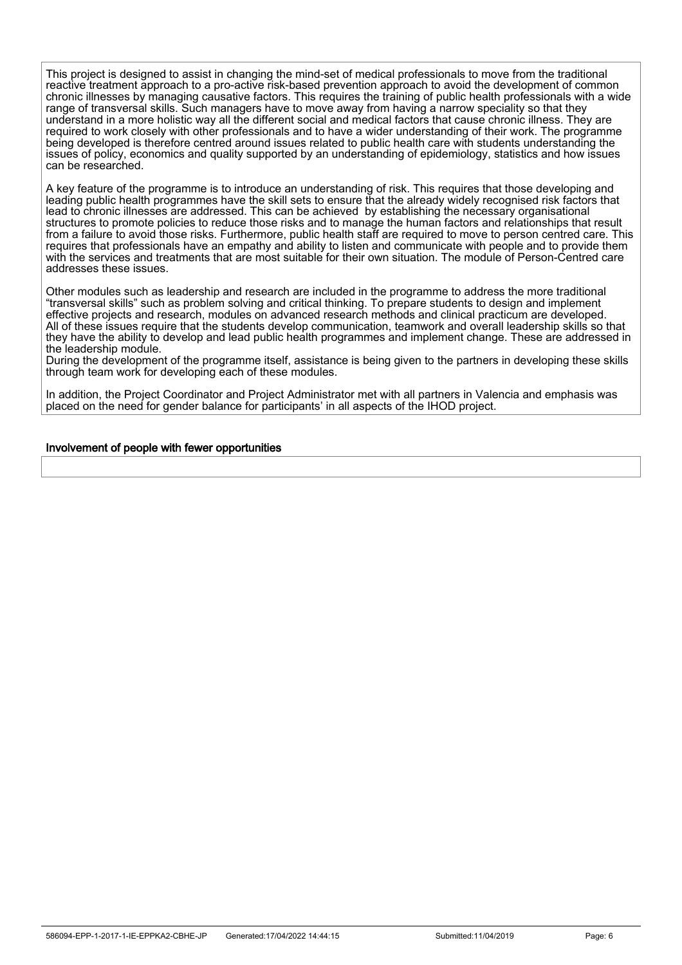This project is designed to assist in changing the mind-set of medical professionals to move from the traditional reactive treatment approach to a pro-active risk-based prevention approach to avoid the development of common chronic illnesses by managing causative factors. This requires the training of public health professionals with a wide range of transversal skills. Such managers have to move away from having a narrow speciality so that they understand in a more holistic way all the different social and medical factors that cause chronic illness. They are required to work closely with other professionals and to have a wider understanding of their work. The programme being developed is therefore centred around issues related to public health care with students understanding the issues of policy, economics and quality supported by an understanding of epidemiology, statistics and how issues can be researched.

A key feature of the programme is to introduce an understanding of risk. This requires that those developing and leading public health programmes have the skill sets to ensure that the already widely recognised risk factors that lead to chronic illnesses are addressed. This can be achieved by establishing the necessary organisational structures to promote policies to reduce those risks and to manage the human factors and relationships that result from a failure to avoid those risks. Furthermore, public health staff are required to move to person centred care. This requires that professionals have an empathy and ability to listen and communicate with people and to provide them with the services and treatments that are most suitable for their own situation. The module of Person-Centred care addresses these issues.

Other modules such as leadership and research are included in the programme to address the more traditional "transversal skills" such as problem solving and critical thinking. To prepare students to design and implement effective projects and research, modules on advanced research methods and clinical practicum are developed. All of these issues require that the students develop communication, teamwork and overall leadership skills so that they have the ability to develop and lead public health programmes and implement change. These are addressed in the leadership module.

During the development of the programme itself, assistance is being given to the partners in developing these skills through team work for developing each of these modules.

In addition, the Project Coordinator and Project Administrator met with all partners in Valencia and emphasis was placed on the need for gender balance for participants' in all aspects of the IHOD project.

#### Involvement of people with fewer opportunities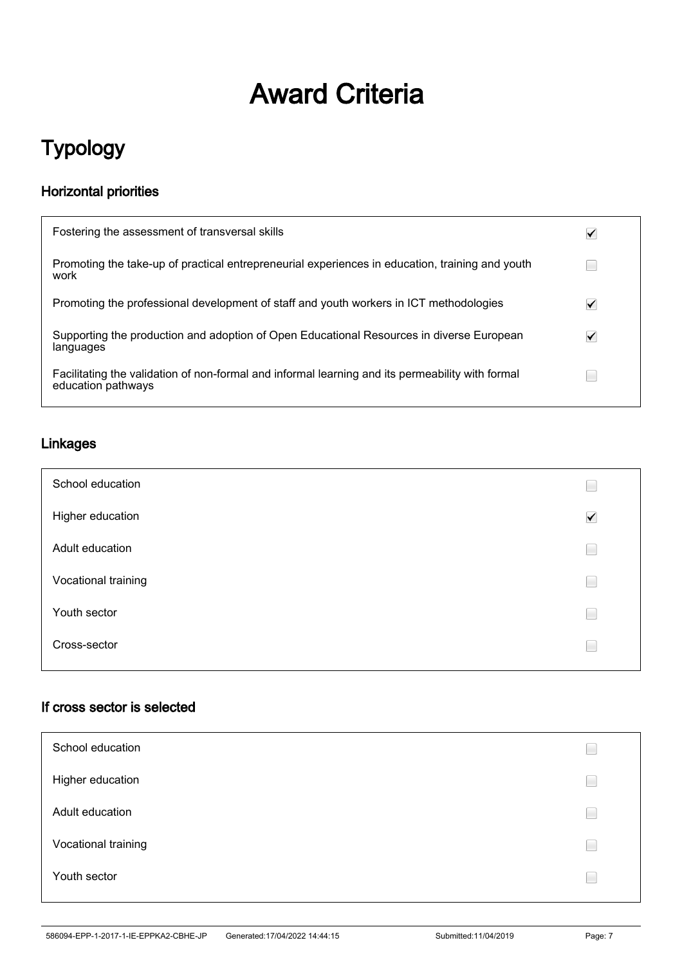# Award Criteria

## Typology

## Horizontal priorities

| Fostering the assessment of transversal skills                                                                         | ✔ |
|------------------------------------------------------------------------------------------------------------------------|---|
| Promoting the take-up of practical entrepreneurial experiences in education, training and youth<br>work                |   |
| Promoting the professional development of staff and youth workers in ICT methodologies                                 | ✓ |
| Supporting the production and adoption of Open Educational Resources in diverse European<br>languages                  | ✓ |
| Facilitating the validation of non-formal and informal learning and its permeability with formal<br>education pathways |   |

### Linkages

| School education    | ۹                    |
|---------------------|----------------------|
| Higher education    | $\blacktriangledown$ |
| Adult education     | Ξ                    |
| Vocational training | Ξ                    |
| Youth sector        | Ξ                    |
| Cross-sector        | Ξ                    |

## If cross sector is selected

| School education    |  |
|---------------------|--|
| Higher education    |  |
| Adult education     |  |
| Vocational training |  |
| Youth sector        |  |
|                     |  |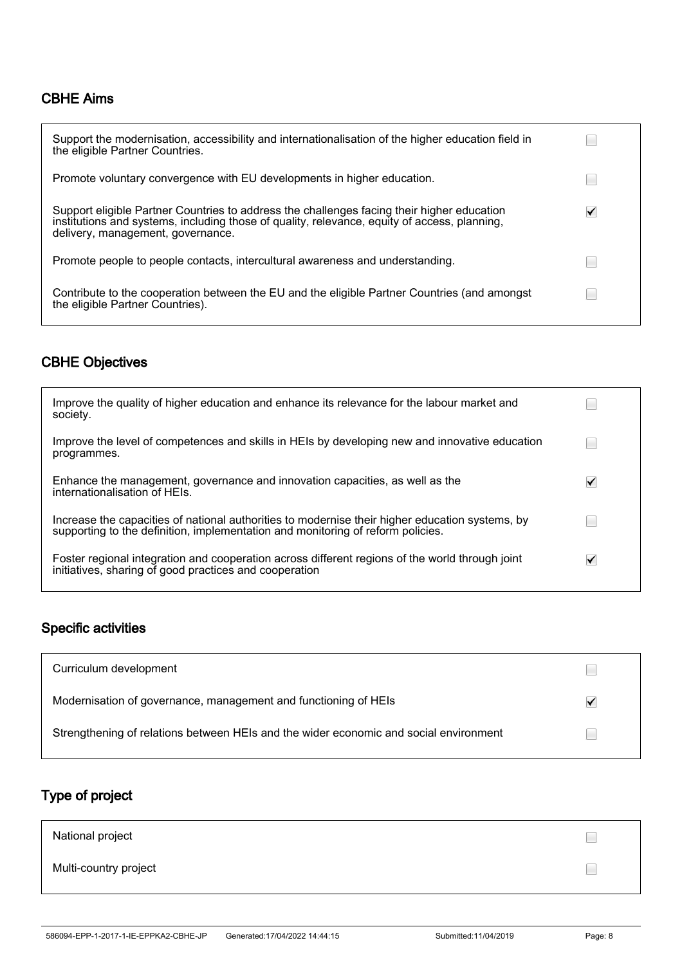### CBHE Aims

| Support the modernisation, accessibility and internationalisation of the higher education field in<br>the eligible Partner Countries.                                                                                           |   |
|---------------------------------------------------------------------------------------------------------------------------------------------------------------------------------------------------------------------------------|---|
| Promote voluntary convergence with EU developments in higher education.                                                                                                                                                         |   |
| Support eligible Partner Countries to address the challenges facing their higher education<br>institutions and systems, including those of quality, relevance, equity of access, planning,<br>delivery, management, governance. | ✓ |
| Promote people to people contacts, intercultural awareness and understanding.                                                                                                                                                   |   |
| Contribute to the cooperation between the EU and the eligible Partner Countries (and amongst<br>the eligible Partner Countries).                                                                                                |   |

## CBHE Objectives

| Improve the quality of higher education and enhance its relevance for the labour market and<br>society.                                                                            |   |
|------------------------------------------------------------------------------------------------------------------------------------------------------------------------------------|---|
| Improve the level of competences and skills in HEIs by developing new and innovative education<br>programmes.                                                                      |   |
| Enhance the management, governance and innovation capacities, as well as the<br>internationalisation of HEIs.                                                                      | ✓ |
| Increase the capacities of national authorities to modernise their higher education systems, by<br>supporting to the definition, implementation and monitoring of reform policies. |   |
| Foster regional integration and cooperation across different regions of the world through joint<br>initiatives, sharing of good practices and cooperation                          | ✓ |

## Specific activities

| Curriculum development                                                                |  |
|---------------------------------------------------------------------------------------|--|
| Modernisation of governance, management and functioning of HEIs                       |  |
| Strengthening of relations between HEIs and the wider economic and social environment |  |

## Type of project

| National project      |  |
|-----------------------|--|
| Multi-country project |  |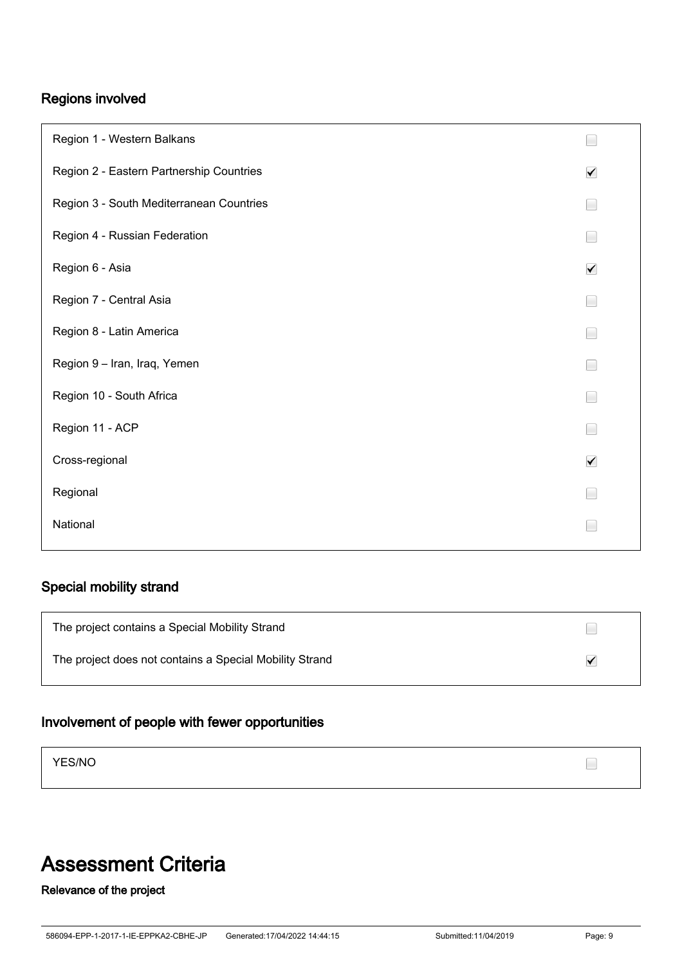## Regions involved

| Region 1 - Western Balkans               |                      |
|------------------------------------------|----------------------|
| Region 2 - Eastern Partnership Countries | $\blacktriangledown$ |
| Region 3 - South Mediterranean Countries |                      |
| Region 4 - Russian Federation            |                      |
| Region 6 - Asia                          | $\blacktriangledown$ |
| Region 7 - Central Asia                  |                      |
| Region 8 - Latin America                 |                      |
| Region 9 - Iran, Iraq, Yemen             |                      |
| Region 10 - South Africa                 |                      |
| Region 11 - ACP                          |                      |
| Cross-regional                           | $\blacktriangledown$ |
| Regional                                 |                      |
| National                                 |                      |

## Special mobility strand

| The project contains a Special Mobility Strand          |  |
|---------------------------------------------------------|--|
| The project does not contains a Special Mobility Strand |  |

## Involvement of people with fewer opportunities

YES/NO

## Assessment Criteria

## Relevance of the project

 $\Box$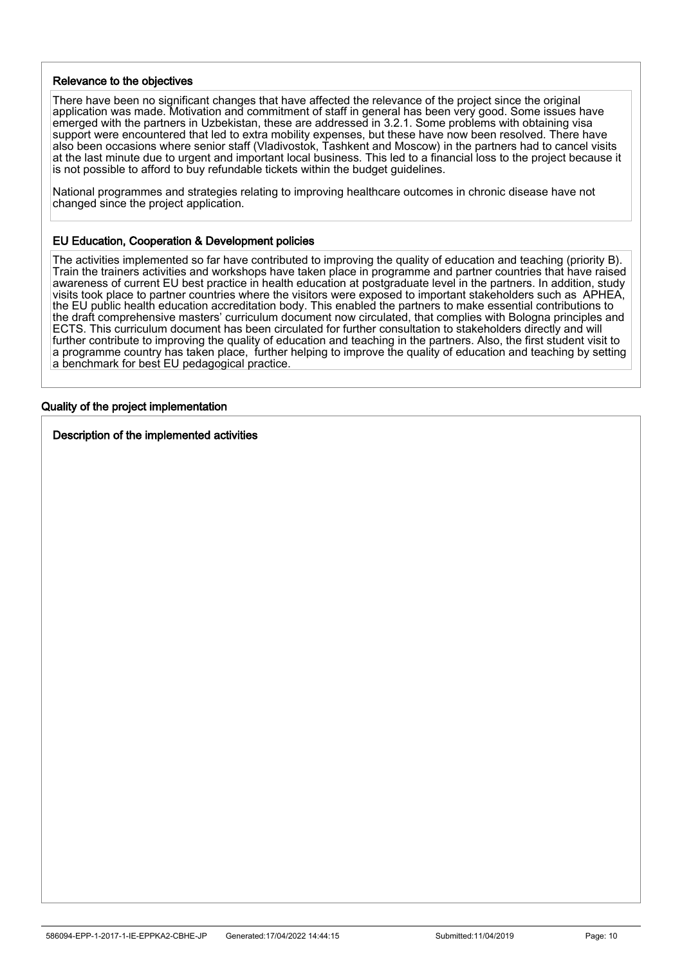#### Relevance to the objectives

There have been no significant changes that have affected the relevance of the project since the original application was made. Motivation and commitment of staff in general has been very good. Some issues have emerged with the partners in Uzbekistan, these are addressed in 3.2.1. Some problems with obtaining visa support were encountered that led to extra mobility expenses, but these have now been resolved. There have also been occasions where senior staff (Vladivostok, Tashkent and Moscow) in the partners had to cancel visits at the last minute due to urgent and important local business. This led to a financial loss to the project because it is not possible to afford to buy refundable tickets within the budget guidelines.

National programmes and strategies relating to improving healthcare outcomes in chronic disease have not changed since the project application.

#### EU Education, Cooperation & Development policies

The activities implemented so far have contributed to improving the quality of education and teaching (priority B). Train the trainers activities and workshops have taken place in programme and partner countries that have raised awareness of current EU best practice in health education at postgraduate level in the partners. In addition, study visits took place to partner countries where the visitors were exposed to important stakeholders such as APHEA, the EU public health education accreditation body. This enabled the partners to make essential contributions to the draft comprehensive masters' curriculum document now circulated, that complies with Bologna principles and ECTS. This curriculum document has been circulated for further consultation to stakeholders directly and will further contribute to improving the quality of education and teaching in the partners. Also, the first student visit to a programme country has taken place, further helping to improve the quality of education and teaching by setting a benchmark for best EU pedagogical practice.

## Quality of the project implementation

İ

Description of the implemented activities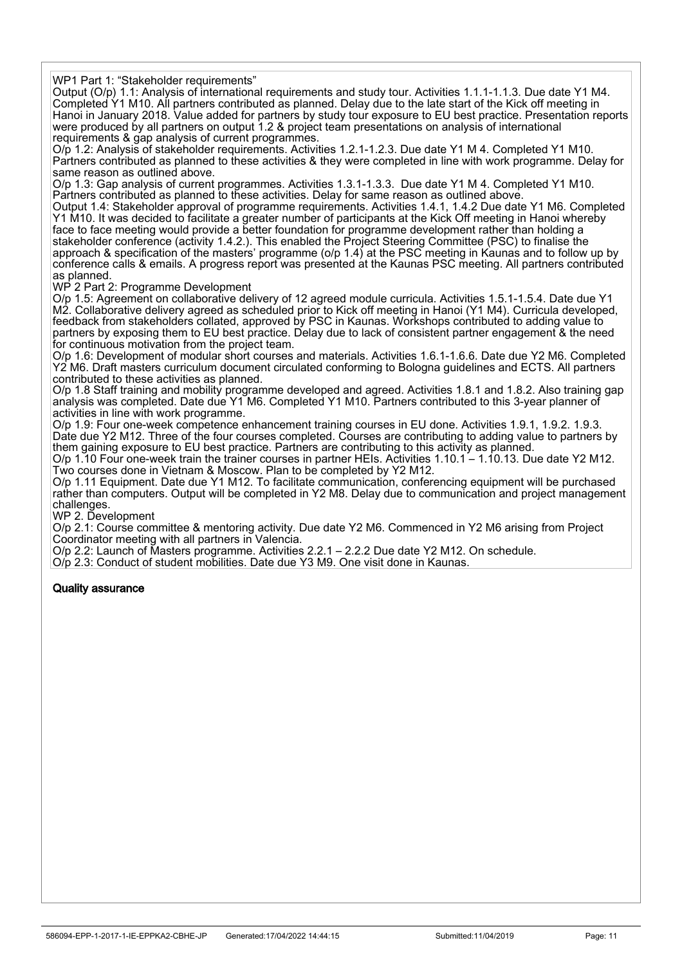WP1 Part 1: "Stakeholder requirements"

Output (O/p) 1.1: Analysis of international requirements and study tour. Activities 1.1.1-1.1.3. Due date Y1 M4. Completed Y1 M10. All partners contributed as planned. Delay due to the late start of the Kick off meeting in Hanoi in January 2018. Value added for partners by study tour exposure to EU best practice. Presentation reports were produced by all partners on output 1.2 & project team presentations on analysis of international requirements & gap analysis of current programmes.

O/p 1.2: Analysis of stakeholder requirements. Activities 1.2.1-1.2.3. Due date Y1 M 4. Completed Y1 M10. Partners contributed as planned to these activities & they were completed in line with work programme. Delay for same reason as outlined above.

O/p 1.3: Gap analysis of current programmes. Activities 1.3.1-1.3.3. Due date Y1 M 4. Completed Y1 M10. Partners contributed as planned to these activities. Delay for same reason as outlined above.

Output 1.4: Stakeholder approval of programme requirements. Activities 1.4.1, 1.4.2 Due date Y1 M6. Completed Y1 M10. It was decided to facilitate a greater number of participants at the Kick Off meeting in Hanoi whereby face to face meeting would provide a better foundation for programme development rather than holding a stakeholder conference (activity 1.4.2.). This enabled the Project Steering Committee (PSC) to finalise the approach & specification of the masters' programme (o/p 1.4) at the PSC meeting in Kaunas and to follow up by conference calls & emails. A progress report was presented at the Kaunas PSC meeting. All partners contributed as planned.

WP 2 Part 2: Programme Development

O/p 1.5: Agreement on collaborative delivery of 12 agreed module curricula. Activities 1.5.1-1.5.4. Date due Y1 M2. Collaborative delivery agreed as scheduled prior to Kick off meeting in Hanoi (Y1 M4). Curricula developed, feedback from stakeholders collated, approved by PSC in Kaunas. Workshops contributed to adding value to partners by exposing them to EU best practice. Delay due to lack of consistent partner engagement & the need for continuous motivation from the project team.

O/p 1.6: Development of modular short courses and materials. Activities 1.6.1-1.6.6. Date due Y2 M6. Completed Y2 M6. Draft masters curriculum document circulated conforming to Bologna guidelines and ECTS. All partners contributed to these activities as planned.

O/p 1.8 Staff training and mobility programme developed and agreed. Activities 1.8.1 and 1.8.2. Also training gap analysis was completed. Date due Y1 M6. Completed Y1 M10. Partners contributed to this 3-year planner of activities in line with work programme.

O/p 1.9: Four one-week competence enhancement training courses in EU done. Activities 1.9.1, 1.9.2. 1.9.3. Date due Y2 M12. Three of the four courses completed. Courses are contributing to adding value to partners by them gaining exposure to EU best practice. Partners are contributing to this activity as planned.

O/p 1.10 Four one-week train the trainer courses in partner HEIs. Activities 1.10.1 – 1.10.13. Due date Y2 M12. Two courses done in Vietnam & Moscow. Plan to be completed by Y2 M12.

O/p 1.11 Equipment. Date due Y1 M12. To facilitate communication, conferencing equipment will be purchased rather than computers. Output will be completed in Y2 M8. Delay due to communication and project management challenges.

WP 2. Development

O/p 2.1: Course committee & mentoring activity. Due date Y2 M6. Commenced in Y2 M6 arising from Project Coordinator meeting with all partners in Valencia.

O/p 2.2: Launch of Masters programme. Activities 2.2.1 – 2.2.2 Due date Y2 M12. On schedule.

O/p 2.3: Conduct of student mobilities. Date due Y3 M9. One visit done in Kaunas.

#### Quality assurance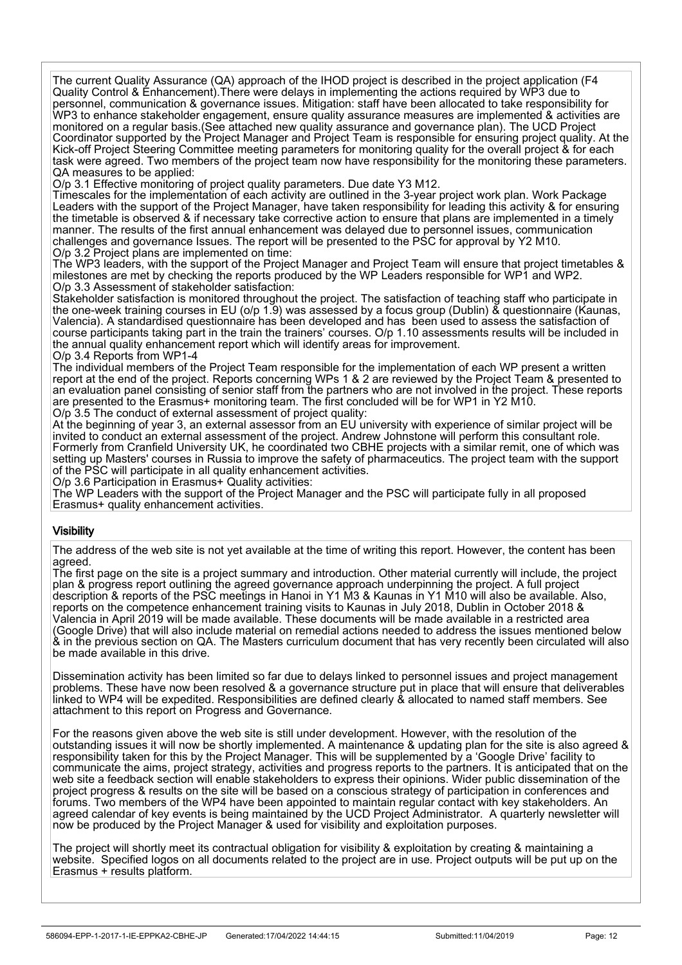The current Quality Assurance (QA) approach of the IHOD project is described in the project application (F4 Quality Control & Enhancement).There were delays in implementing the actions required by WP3 due to personnel, communication & governance issues. Mitigation: staff have been allocated to take responsibility for WP3 to enhance stakeholder engagement, ensure quality assurance measures are implemented & activities are monitored on a regular basis.(See attached new quality assurance and governance plan). The UCD Project Coordinator supported by the Project Manager and Project Team is responsible for ensuring project quality. At the Kick-off Project Steering Committee meeting parameters for monitoring quality for the overall project & for each task were agreed. Two members of the project team now have responsibility for the monitoring these parameters. QA measures to be applied:

O/p 3.1 Effective monitoring of project quality parameters. Due date Y3 M12.

Timescales for the implementation of each activity are outlined in the 3-year project work plan. Work Package Leaders with the support of the Project Manager, have taken responsibility for leading this activity & for ensuring the timetable is observed & if necessary take corrective action to ensure that plans are implemented in a timely manner. The results of the first annual enhancement was delayed due to personnel issues, communication challenges and governance Issues. The report will be presented to the PSC for approval by Y2 M10. O/p 3.2 Project plans are implemented on time:

The WP3 leaders, with the support of the Project Manager and Project Team will ensure that project timetables & milestones are met by checking the reports produced by the WP Leaders responsible for WP1 and WP2. O/p 3.3 Assessment of stakeholder satisfaction:

Stakeholder satisfaction is monitored throughout the project. The satisfaction of teaching staff who participate in the one-week training courses in EU (o/p 1.9) was assessed by a focus group (Dublin) & questionnaire (Kaunas, Valencia). A standardised questionnaire has been developed and has been used to assess the satisfaction of course participants taking part in the train the trainers' courses. O/p 1.10 assessments results will be included in the annual quality enhancement report which will identify areas for improvement. O/p 3.4 Reports from WP1-4

The individual members of the Project Team responsible for the implementation of each WP present a written report at the end of the project. Reports concerning WPs 1 & 2 are reviewed by the Project Team & presented to an evaluation panel consisting of senior staff from the partners who are not involved in the project. These reports are presented to the Erasmus+ monitoring team. The first concluded will be for WP1 in Y2 M10. O/p 3.5 The conduct of external assessment of project quality:

At the beginning of year 3, an external assessor from an EU university with experience of similar project will be invited to conduct an external assessment of the project. Andrew Johnstone will perform this consultant role. Formerly from Cranfield University UK, he coordinated two CBHE projects with a similar remit, one of which was setting up Masters' courses in Russia to improve the safety of pharmaceutics. The project team with the support of the PSC will participate in all quality enhancement activities.

O/p 3.6 Participation in Erasmus+ Quality activities:

The WP Leaders with the support of the Project Manager and the PSC will participate fully in all proposed Erasmus+ quality enhancement activities.

#### **Visibility**

The address of the web site is not yet available at the time of writing this report. However, the content has been agreed.

The first page on the site is a project summary and introduction. Other material currently will include, the project plan & progress report outlining the agreed governance approach underpinning the project. A full project description & reports of the PSC meetings in Hanoi in Y1 M3 & Kaunas in Y1 M10 will also be available. Also, reports on the competence enhancement training visits to Kaunas in July 2018, Dublin in October 2018 & Valencia in April 2019 will be made available. These documents will be made available in a restricted area (Google Drive) that will also include material on remedial actions needed to address the issues mentioned below & in the previous section on QA. The Masters curriculum document that has very recently been circulated will also be made available in this drive.

Dissemination activity has been limited so far due to delays linked to personnel issues and project management problems. These have now been resolved & a governance structure put in place that will ensure that deliverables linked to WP4 will be expedited. Responsibilities are defined clearly & allocated to named staff members. See attachment to this report on Progress and Governance.

For the reasons given above the web site is still under development. However, with the resolution of the outstanding issues it will now be shortly implemented. A maintenance & updating plan for the site is also agreed & responsibility taken for this by the Project Manager. This will be supplemented by a 'Google Drive' facility to communicate the aims, project strategy, activities and progress reports to the partners. It is anticipated that on the web site a feedback section will enable stakeholders to express their opinions. Wider public dissemination of the project progress & results on the site will be based on a conscious strategy of participation in conferences and forums. Two members of the WP4 have been appointed to maintain regular contact with key stakeholders. An agreed calendar of key events is being maintained by the UCD Project Administrator. A quarterly newsletter will now be produced by the Project Manager & used for visibility and exploitation purposes.

The project will shortly meet its contractual obligation for visibility & exploitation by creating & maintaining a website. Specified logos on all documents related to the project are in use. Project outputs will be put up on the Erasmus + results platform.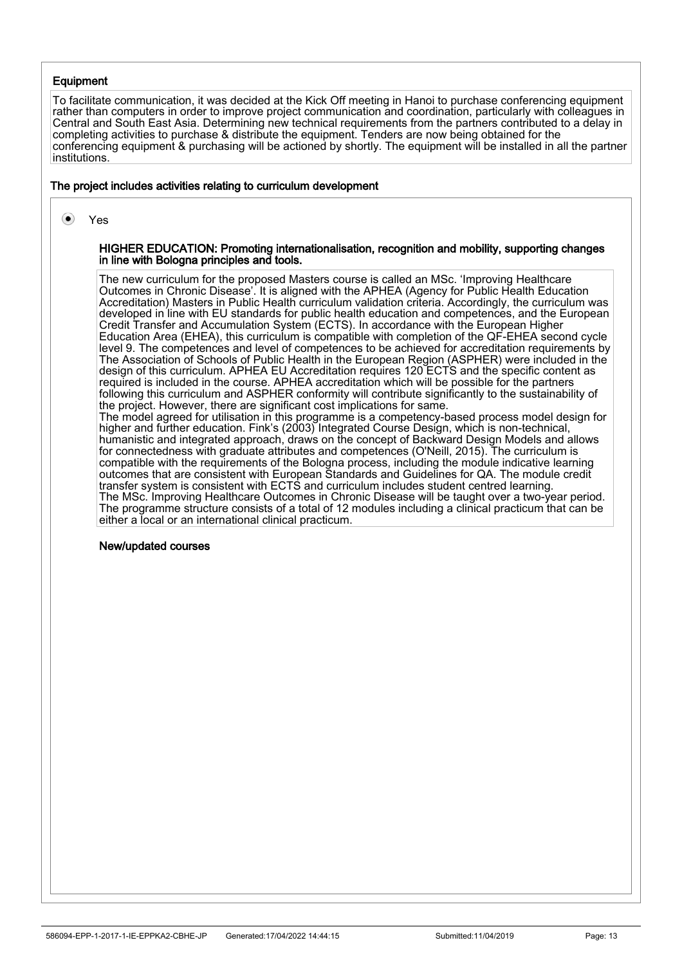#### **Equipment**

To facilitate communication, it was decided at the Kick Off meeting in Hanoi to purchase conferencing equipment rather than computers in order to improve project communication and coordination, particularly with colleagues in Central and South East Asia. Determining new technical requirements from the partners contributed to a delay in completing activities to purchase & distribute the equipment. Tenders are now being obtained for the conferencing equipment & purchasing will be actioned by shortly. The equipment will be installed in all the partner institutions.

#### The project includes activities relating to curriculum development

 $\left( \bullet \right)$ Yes

#### HIGHER EDUCATION: Promoting internationalisation, recognition and mobility, supporting changes in line with Bologna principles and tools.

The new curriculum for the proposed Masters course is called an MSc. 'Improving Healthcare Outcomes in Chronic Disease'. It is aligned with the APHEA (Agency for Public Health Education Accreditation) Masters in Public Health curriculum validation criteria. Accordingly, the curriculum was developed in line with EU standards for public health education and competences, and the European Credit Transfer and Accumulation System (ECTS). In accordance with the European Higher Education Area (EHEA), this curriculum is compatible with completion of the QF-EHEA second cycle level 9. The competences and level of competences to be achieved for accreditation requirements by The Association of Schools of Public Health in the European Region (ASPHER) were included in the design of this curriculum. APHEA EU Accreditation requires 120 ECTS and the specific content as required is included in the course. APHEA accreditation which will be possible for the partners following this curriculum and ASPHER conformity will contribute significantly to the sustainability of the project. However, there are significant cost implications for same. The model agreed for utilisation in this programme is a competency-based process model design for higher and further education. Fink's (2003) Integrated Course Design, which is non-technical, humanistic and integrated approach, draws on the concept of Backward Design Models and allows for connectedness with graduate attributes and competences (O'Neill, 2015). The curriculum is compatible with the requirements of the Bologna process, including the module indicative learning outcomes that are consistent with European Standards and Guidelines for QA. The module credit transfer system is consistent with ECTS and curriculum includes student centred learning. The MSc. Improving Healthcare Outcomes in Chronic Disease will be taught over a two-year period. The programme structure consists of a total of 12 modules including a clinical practicum that can be either a local or an international clinical practicum.

#### New/updated courses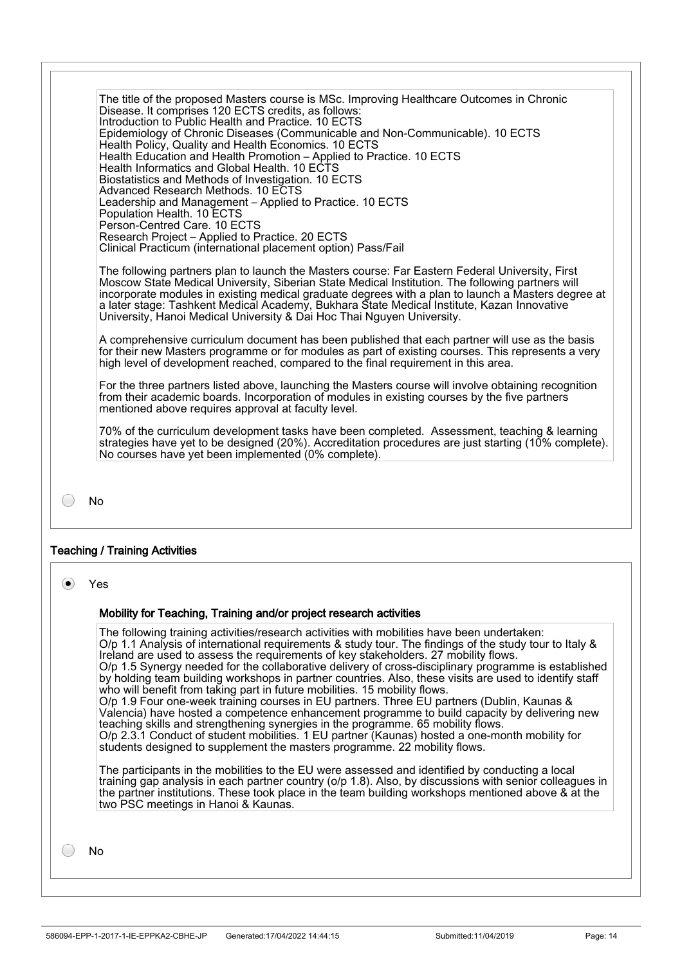The title of the proposed Masters course is MSc. Improving Healthcare Outcomes in Chronic Disease. It comprises 120 ECTS credits, as follows: Introduction to Public Health and Practice. 10 ECTS Epidemiology of Chronic Diseases (Communicable and Non-Communicable). 10 ECTS Health Policy, Quality and Health Economics. 10 ECTS Health Education and Health Promotion – Applied to Practice. 10 ECTS Health Informatics and Global Health. 10 ECTS Biostatistics and Methods of Investigation. 10 ECTS Advanced Research Methods. 10 ECTS Leadership and Management – Applied to Practice. 10 ECTS Population Health. 10 ECTS Person-Centred Care. 10 ECTS Research Project – Applied to Practice. 20 ECTS Clinical Practicum (international placement option) Pass/Fail

The following partners plan to launch the Masters course: Far Eastern Federal University, First Moscow State Medical University, Siberian State Medical Institution. The following partners will incorporate modules in existing medical graduate degrees with a plan to launch a Masters degree at a later stage: Tashkent Medical Academy, Bukhara State Medical Institute, Kazan Innovative University, Hanoi Medical University & Dai Hoc Thai Nguyen University.

A comprehensive curriculum document has been published that each partner will use as the basis for their new Masters programme or for modules as part of existing courses. This represents a very high level of development reached, compared to the final requirement in this area.

For the three partners listed above, launching the Masters course will involve obtaining recognition from their academic boards. Incorporation of modules in existing courses by the five partners mentioned above requires approval at faculty level.

70% of the curriculum development tasks have been completed. Assessment, teaching & learning strategies have yet to be designed (20%). Accreditation procedures are just starting (10% complete). No courses have yet been implemented (0% complete).

 $\bigcirc$ No

#### Teaching / Training Activities

 $\left( \bullet \right)$ Yes

#### Mobility for Teaching, Training and/or project research activities

The following training activities/research activities with mobilities have been undertaken: O/p 1.1 Analysis of international requirements & study tour. The findings of the study tour to Italy & Ireland are used to assess the requirements of key stakeholders. 27 mobility flows. O/p 1.5 Synergy needed for the collaborative delivery of cross-disciplinary programme is established by holding team building workshops in partner countries. Also, these visits are used to identify staff who will benefit from taking part in future mobilities. 15 mobility flows. O/p 1.9 Four one-week training courses in EU partners. Three EU partners (Dublin, Kaunas & Valencia) have hosted a competence enhancement programme to build capacity by delivering new teaching skills and strengthening synergies in the programme. 65 mobility flows. O/p 2.3.1 Conduct of student mobilities. 1 EU partner (Kaunas) hosted a one-month mobility for students designed to supplement the masters programme. 22 mobility flows.

The participants in the mobilities to the EU were assessed and identified by conducting a local training gap analysis in each partner country (o/p 1.8). Also, by discussions with senior colleagues in the partner institutions. These took place in the team building workshops mentioned above & at the two PSC meetings in Hanoi & Kaunas.

No

 $\bigcirc$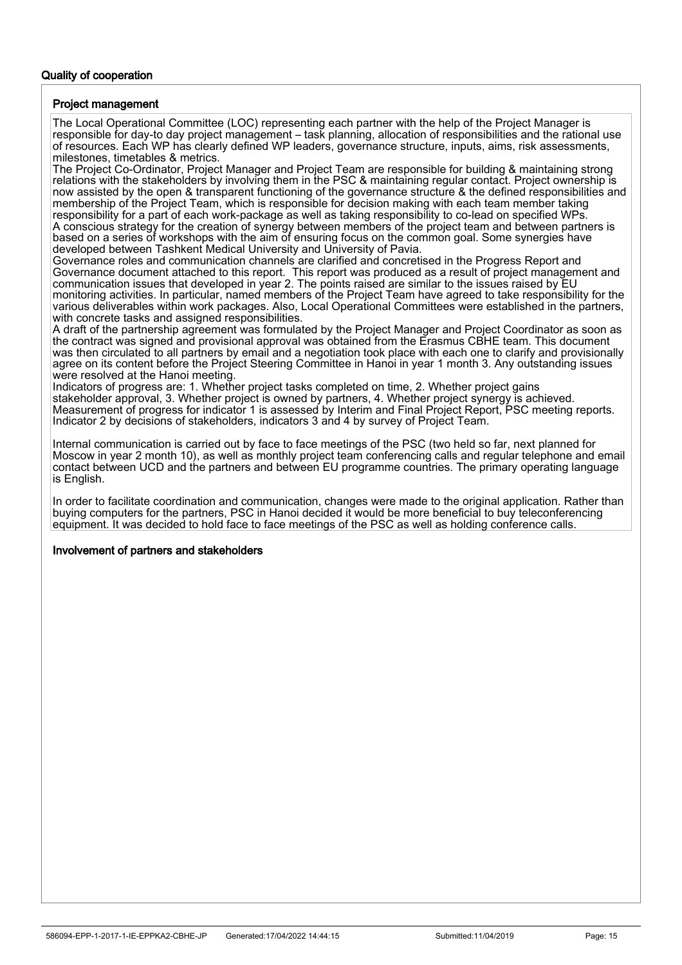## Quality of cooperation

#### Project management

The Local Operational Committee (LOC) representing each partner with the help of the Project Manager is responsible for day-to day project management – task planning, allocation of responsibilities and the rational use of resources. Each WP has clearly defined WP leaders, governance structure, inputs, aims, risk assessments, milestones, timetables & metrics.

The Project Co-Ordinator, Project Manager and Project Team are responsible for building & maintaining strong relations with the stakeholders by involving them in the PSC & maintaining regular contact. Project ownership is now assisted by the open & transparent functioning of the governance structure & the defined responsibilities and membership of the Project Team, which is responsible for decision making with each team member taking responsibility for a part of each work-package as well as taking responsibility to co-lead on specified WPs. A conscious strategy for the creation of synergy between members of the project team and between partners is based on a series of workshops with the aim of ensuring focus on the common goal. Some synergies have developed between Tashkent Medical University and University of Pavia.

Governance roles and communication channels are clarified and concretised in the Progress Report and Governance document attached to this report. This report was produced as a result of project management and communication issues that developed in year 2. The points raised are similar to the issues raised by EU monitoring activities. In particular, named members of the Project Team have agreed to take responsibility for the various deliverables within work packages. Also, Local Operational Committees were established in the partners, with concrete tasks and assigned responsibilities.

A draft of the partnership agreement was formulated by the Project Manager and Project Coordinator as soon as the contract was signed and provisional approval was obtained from the Erasmus CBHE team. This document was then circulated to all partners by email and a negotiation took place with each one to clarify and provisionally agree on its content before the Project Steering Committee in Hanoi in year 1 month 3. Any outstanding issues were resolved at the Hanoi meeting.

Indicators of progress are: 1. Whether project tasks completed on time, 2. Whether project gains stakeholder approval, 3. Whether project is owned by partners, 4. Whether project synergy is achieved. Measurement of progress for indicator 1 is assessed by Interim and Final Project Report, PSC meeting reports. Indicator 2 by decisions of stakeholders, indicators 3 and 4 by survey of Project Team.

Internal communication is carried out by face to face meetings of the PSC (two held so far, next planned for Moscow in year 2 month 10), as well as monthly project team conferencing calls and regular telephone and email contact between UCD and the partners and between EU programme countries. The primary operating language is English.

In order to facilitate coordination and communication, changes were made to the original application. Rather than buying computers for the partners, PSC in Hanoi decided it would be more beneficial to buy teleconferencing equipment. It was decided to hold face to face meetings of the PSC as well as holding conference calls.

#### Involvement of partners and stakeholders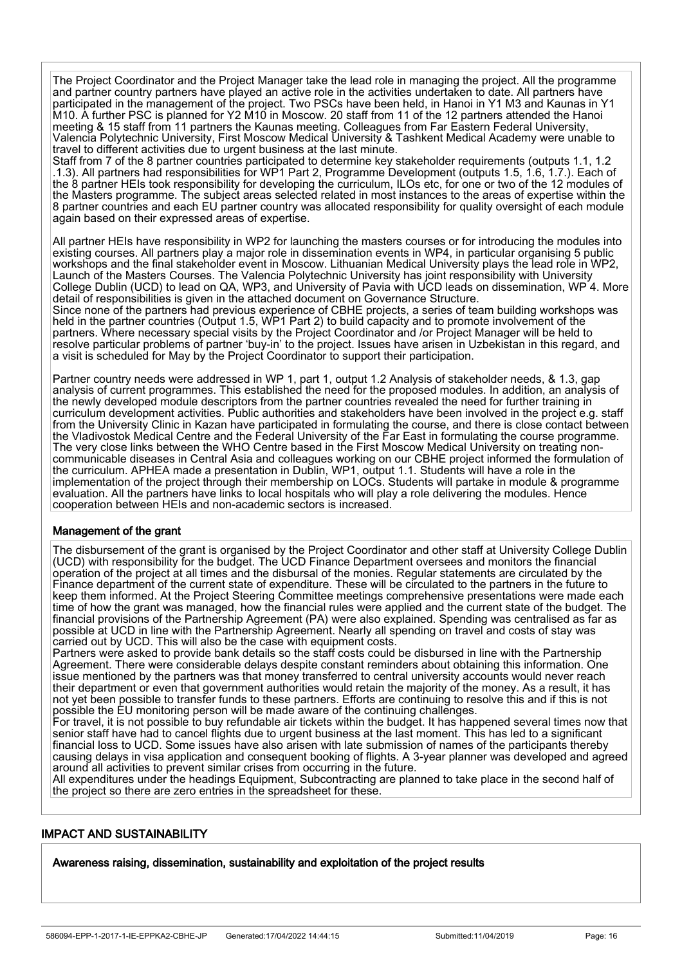The Project Coordinator and the Project Manager take the lead role in managing the project. All the programme and partner country partners have played an active role in the activities undertaken to date. All partners have participated in the management of the project. Two PSCs have been held, in Hanoi in Y1 M3 and Kaunas in Y1 M10. A further PSC is planned for Y2 M10 in Moscow. 20 staff from 11 of the 12 partners attended the Hanoi meeting & 15 staff from 11 partners the Kaunas meeting. Colleagues from Far Eastern Federal University, Valencia Polytechnic University, First Moscow Medical University & Tashkent Medical Academy were unable to travel to different activities due to urgent business at the last minute.

Staff from 7 of the 8 partner countries participated to determine key stakeholder requirements (outputs 1.1, 1.2 .1.3). All partners had responsibilities for WP1 Part 2, Programme Development (outputs 1.5, 1.6, 1.7.). Each of the 8 partner HEIs took responsibility for developing the curriculum, ILOs etc, for one or two of the 12 modules of the Masters programme. The subject areas selected related in most instances to the areas of expertise within the 8 partner countries and each EU partner country was allocated responsibility for quality oversight of each module again based on their expressed areas of expertise.

All partner HEIs have responsibility in WP2 for launching the masters courses or for introducing the modules into existing courses. All partners play a major role in dissemination events in WP4, in particular organising 5 public workshops and the final stakeholder event in Moscow. Lithuanian Medical University plays the lead role in WP2, Launch of the Masters Courses. The Valencia Polytechnic University has joint responsibility with University College Dublin (UCD) to lead on QA, WP3, and University of Pavia with UCD leads on dissemination, WP 4. More detail of responsibilities is given in the attached document on Governance Structure.

Since none of the partners had previous experience of CBHE projects, a series of team building workshops was held in the partner countries (Output 1.5, WP1 Part 2) to build capacity and to promote involvement of the partners. Where necessary special visits by the Project Coordinator and /or Project Manager will be held to resolve particular problems of partner 'buy-in' to the project. Issues have arisen in Uzbekistan in this regard, and a visit is scheduled for May by the Project Coordinator to support their participation.

Partner country needs were addressed in WP 1, part 1, output 1.2 Analysis of stakeholder needs, & 1.3, gap analysis of current programmes. This established the need for the proposed modules. In addition, an analysis of the newly developed module descriptors from the partner countries revealed the need for further training in curriculum development activities. Public authorities and stakeholders have been involved in the project e.g. staff from the University Clinic in Kazan have participated in formulating the course, and there is close contact between the Vladivostok Medical Centre and the Federal University of the Far East in formulating the course programme. The very close links between the WHO Centre based in the First Moscow Medical University on treating noncommunicable diseases in Central Asia and colleagues working on our CBHE project informed the formulation of the curriculum. APHEA made a presentation in Dublin, WP1, output 1.1. Students will have a role in the implementation of the project through their membership on LOCs. Students will partake in module & programme evaluation. All the partners have links to local hospitals who will play a role delivering the modules. Hence cooperation between HEIs and non-academic sectors is increased.

#### Management of the grant

The disbursement of the grant is organised by the Project Coordinator and other staff at University College Dublin (UCD) with responsibility for the budget. The UCD Finance Department oversees and monitors the financial operation of the project at all times and the disbursal of the monies. Regular statements are circulated by the Finance department of the current state of expenditure. These will be circulated to the partners in the future to keep them informed. At the Project Steering Committee meetings comprehensive presentations were made each time of how the grant was managed, how the financial rules were applied and the current state of the budget. The financial provisions of the Partnership Agreement (PA) were also explained. Spending was centralised as far as possible at UCD in line with the Partnership Agreement. Nearly all spending on travel and costs of stay was carried out by UCD. This will also be the case with equipment costs.

Partners were asked to provide bank details so the staff costs could be disbursed in line with the Partnership Agreement. There were considerable delays despite constant reminders about obtaining this information. One issue mentioned by the partners was that money transferred to central university accounts would never reach their department or even that government authorities would retain the majority of the money. As a result, it has not yet been possible to transfer funds to these partners. Efforts are continuing to resolve this and if this is not possible the EU monitoring person will be made aware of the continuing challenges.

For travel, it is not possible to buy refundable air tickets within the budget. It has happened several times now that senior staff have had to cancel flights due to urgent business at the last moment. This has led to a significant financial loss to UCD. Some issues have also arisen with late submission of names of the participants thereby causing delays in visa application and consequent booking of flights. A 3-year planner was developed and agreed around all activities to prevent similar crises from occurring in the future.

All expenditures under the headings Equipment, Subcontracting are planned to take place in the second half of the project so there are zero entries in the spreadsheet for these.

## IMPACT AND SUSTAINABILITY

İ

Awareness raising, dissemination, sustainability and exploitation of the project results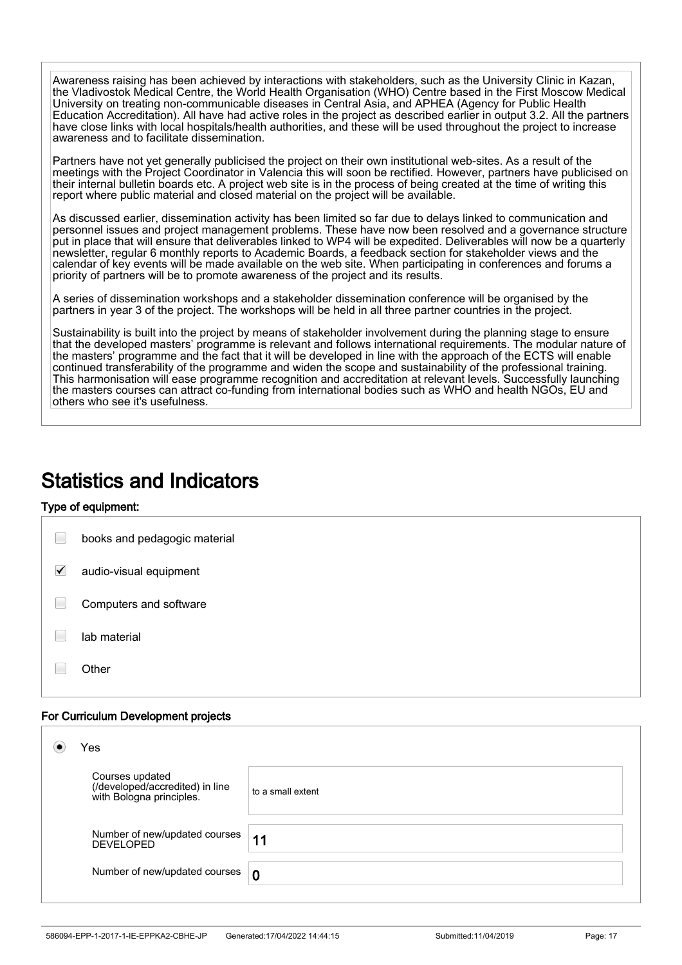Awareness raising has been achieved by interactions with stakeholders, such as the University Clinic in Kazan, the Vladivostok Medical Centre, the World Health Organisation (WHO) Centre based in the First Moscow Medical University on treating non-communicable diseases in Central Asia, and APHEA (Agency for Public Health Education Accreditation). All have had active roles in the project as described earlier in output 3.2. All the partners have close links with local hospitals/health authorities, and these will be used throughout the project to increase awareness and to facilitate dissemination.

Partners have not yet generally publicised the project on their own institutional web-sites. As a result of the meetings with the Project Coordinator in Valencia this will soon be rectified. However, partners have publicised on their internal bulletin boards etc. A project web site is in the process of being created at the time of writing this report where public material and closed material on the project will be available.

As discussed earlier, dissemination activity has been limited so far due to delays linked to communication and personnel issues and project management problems. These have now been resolved and a governance structure put in place that will ensure that deliverables linked to WP4 will be expedited. Deliverables will now be a quarterly newsletter, regular 6 monthly reports to Academic Boards, a feedback section for stakeholder views and the calendar of key events will be made available on the web site. When participating in conferences and forums a priority of partners will be to promote awareness of the project and its results.

A series of dissemination workshops and a stakeholder dissemination conference will be organised by the partners in year 3 of the project. The workshops will be held in all three partner countries in the project.

Sustainability is built into the project by means of stakeholder involvement during the planning stage to ensure that the developed masters' programme is relevant and follows international requirements. The modular nature of the masters' programme and the fact that it will be developed in line with the approach of the ECTS will enable continued transferability of the programme and widen the scope and sustainability of the professional training. This harmonisation will ease programme recognition and accreditation at relevant levels. Successfully launching the masters courses can attract co-funding from international bodies such as WHO and health NGOs, EU and others who see it's usefulness.

## Statistics and Indicators

## Type of equipment:

İ

|   | books and pedagogic material |
|---|------------------------------|
| ✓ | audio-visual equipment       |
|   | Computers and software       |
|   | lab material                 |
|   | er                           |

## For Curriculum Development projects

| Yes |                                                                                |                   |
|-----|--------------------------------------------------------------------------------|-------------------|
|     | Courses updated<br>(/developed/accredited) in line<br>with Bologna principles. | to a small extent |
|     | Number of new/updated courses<br>DEVELOPED                                     | 11                |
|     | Number of new/updated courses                                                  | $\boldsymbol{0}$  |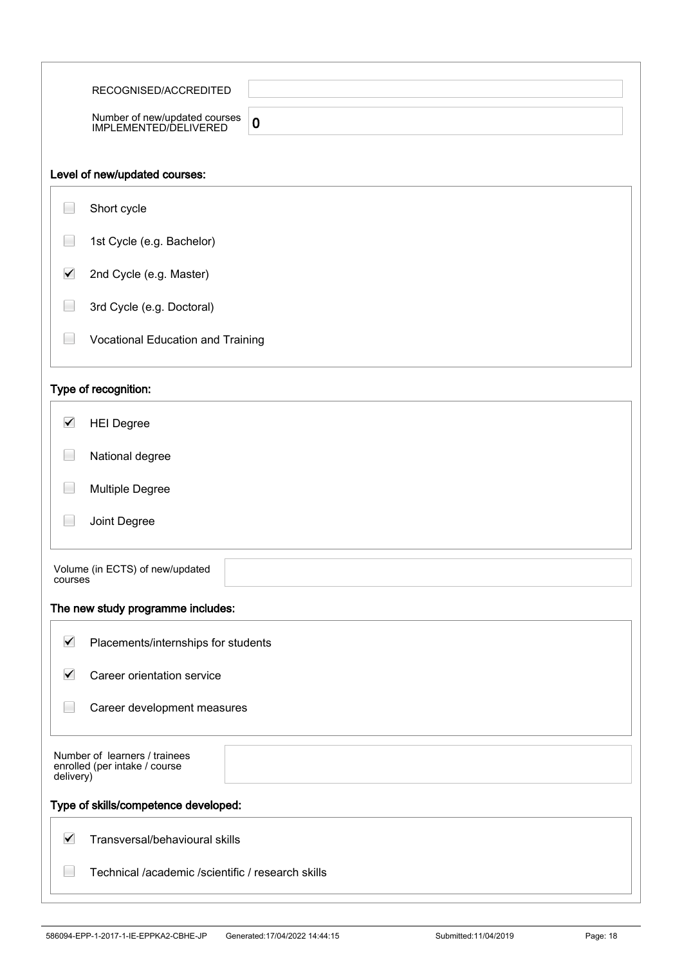|                      | RECOGNISED/ACCREDITED                                              |
|----------------------|--------------------------------------------------------------------|
|                      | Number of new/updated courses<br>IMPLEMENTED/DELIVERED<br>$\bf{0}$ |
|                      |                                                                    |
|                      | Level of new/updated courses:                                      |
|                      | Short cycle                                                        |
|                      | 1st Cycle (e.g. Bachelor)                                          |
| $\blacktriangledown$ | 2nd Cycle (e.g. Master)                                            |
|                      | 3rd Cycle (e.g. Doctoral)                                          |
|                      | Vocational Education and Training                                  |
|                      | Type of recognition:                                               |
| $\blacktriangledown$ | <b>HEI Degree</b>                                                  |
|                      | National degree                                                    |
|                      | <b>Multiple Degree</b>                                             |
|                      | Joint Degree                                                       |
| courses              | Volume (in ECTS) of new/updated                                    |
|                      | The new study programme includes:                                  |
| $\blacktriangledown$ | Placements/internships for students                                |
| $\blacktriangledown$ | Career orientation service                                         |
|                      | Career development measures                                        |
| delivery)            | Number of learners / trainees<br>enrolled (per intake / course     |
|                      | Type of skills/competence developed:                               |
| $\blacktriangledown$ | Transversal/behavioural skills                                     |
|                      | Technical /academic /scientific / research skills                  |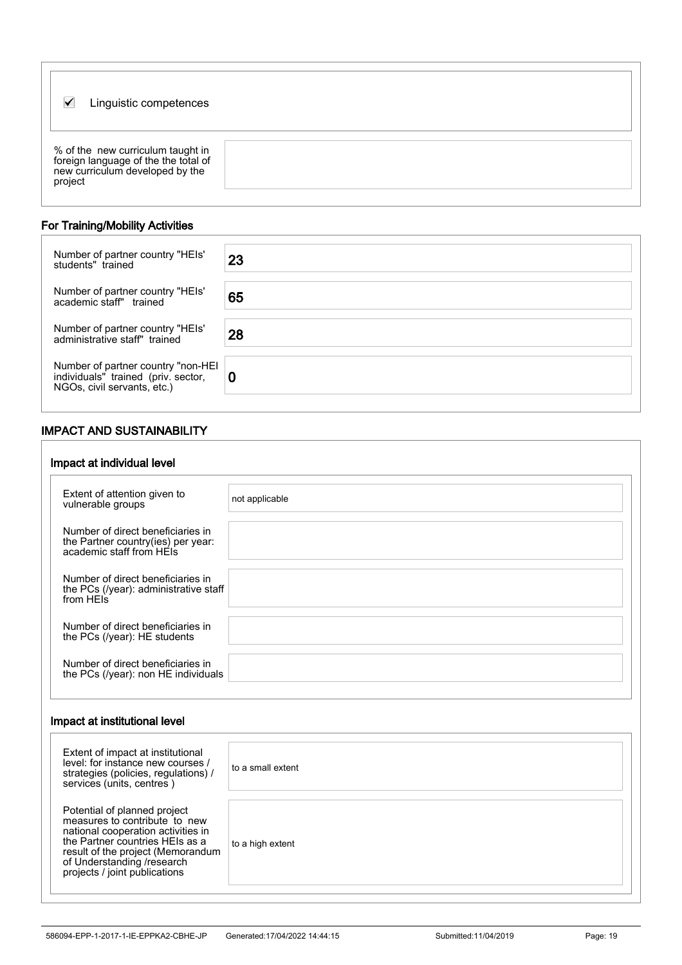| Linguistic competences<br>V                                                                                             |  |
|-------------------------------------------------------------------------------------------------------------------------|--|
| % of the new curriculum taught in<br>foreign language of the the total of<br>new curriculum developed by the<br>project |  |

## For Training/Mobility Activities

İ

İ

| Number of partner country "HEIs"<br>students" trained                                                 | 23 |
|-------------------------------------------------------------------------------------------------------|----|
| Number of partner country "HEIs"<br>academic staff" trained                                           | 65 |
| Number of partner country "HEIs"<br>administrative staff" trained                                     | 28 |
| Number of partner country "non-HEI individuals" trained (priv. sector,<br>NGOs, civil servants, etc.) | 0  |

## IMPACT AND SUSTAINABILITY

| Impact at individual level                                                                          |                |
|-----------------------------------------------------------------------------------------------------|----------------|
| Extent of attention given to<br>vulnerable groups                                                   | not applicable |
| Number of direct beneficiaries in<br>the Partner country(ies) per year:<br>academic staff from HEIs |                |
| Number of direct beneficiaries in<br>the PCs (/year): administrative staff<br>from HEIs             |                |
| Number of direct beneficiaries in<br>the PCs (/year): HE students                                   |                |
| Number of direct beneficiaries in<br>the PCs (/year): non HE individuals                            |                |

#### Impact at institutional level

| Extent of impact at institutional<br>level: for instance new courses /<br>strategies (policies, regulations) /<br>services (units, centres)                                                                                                | to a small extent |
|--------------------------------------------------------------------------------------------------------------------------------------------------------------------------------------------------------------------------------------------|-------------------|
| Potential of planned project<br>measures to contribute to new<br>national cooperation activities in<br>the Partner countries HEIs as a<br>result of the project (Memorandum<br>of Understanding /research<br>projects / joint publications | to a high extent  |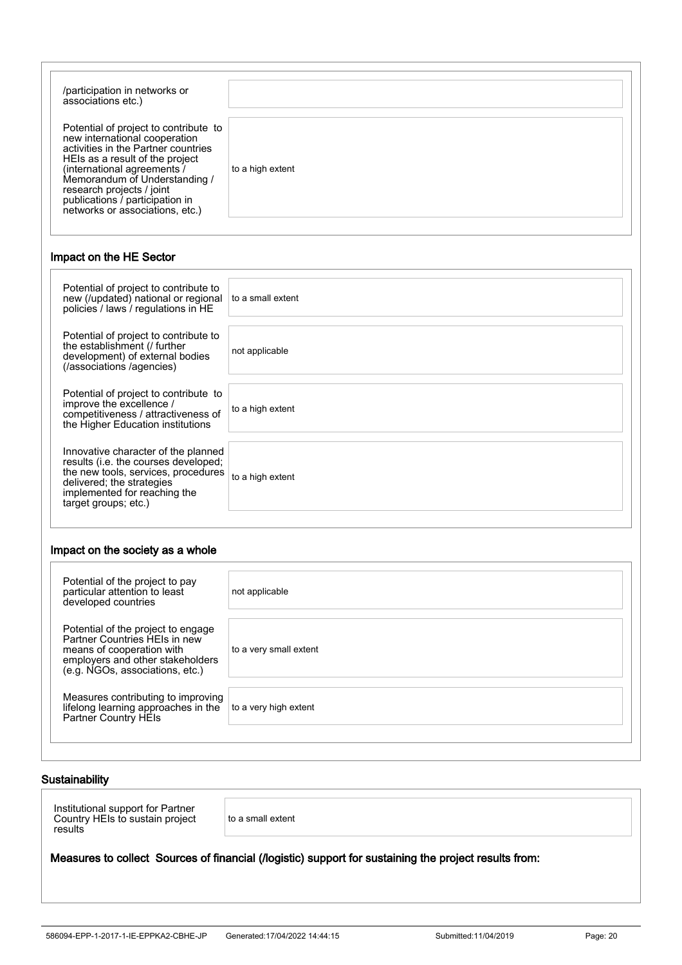| /participation in networks or<br>associations etc.)                                                                                                                                                                                                                                                                 |                  |
|---------------------------------------------------------------------------------------------------------------------------------------------------------------------------------------------------------------------------------------------------------------------------------------------------------------------|------------------|
| Potential of project to contribute to<br>new international cooperation<br>activities in the Partner countries<br>HEIs as a result of the project<br>(international agreements /<br>Memorandum of Understanding /<br>research projects / joint<br>publications / participation in<br>networks or associations, etc.) | to a high extent |

#### Impact on the HE Sector

| Potential of project to contribute to<br>new (/updated) national or regional<br>policies / laws / regulations in HE                                                                                     | to a small extent |
|---------------------------------------------------------------------------------------------------------------------------------------------------------------------------------------------------------|-------------------|
| Potential of project to contribute to<br>the establishment (/ further<br>development) of external bodies<br>(/associations /agencies)                                                                   | not applicable    |
| Potential of project to contribute to<br>improve the excellence /<br>competitiveness / attractiveness of<br>the Higher Education institutions                                                           | to a high extent  |
| Innovative character of the planned<br>results (i.e. the courses developed;<br>the new tools, services, procedures<br>delivered; the strategies<br>implemented for reaching the<br>target groups; etc.) | to a high extent  |

#### Impact on the society as a whole

| Potential of the project to pay<br>particular attention to least<br>developed countries                                                                                 | not applicable         |
|-------------------------------------------------------------------------------------------------------------------------------------------------------------------------|------------------------|
| Potential of the project to engage<br>Partner Countries HEIs in new<br>means of cooperation with<br>employers and other stakeholders<br>(e.g. NGOs, associations, etc.) | to a very small extent |
| Measures contributing to improving<br>lifelong learning approaches in the<br>Partner Country HEIs                                                                       | to a very high extent  |

### Sustainability

İ

Institutional support for Partner Country HEIs to sustain project results

to a small extent

#### Measures to collect Sources of financial (/logistic) support for sustaining the project results from: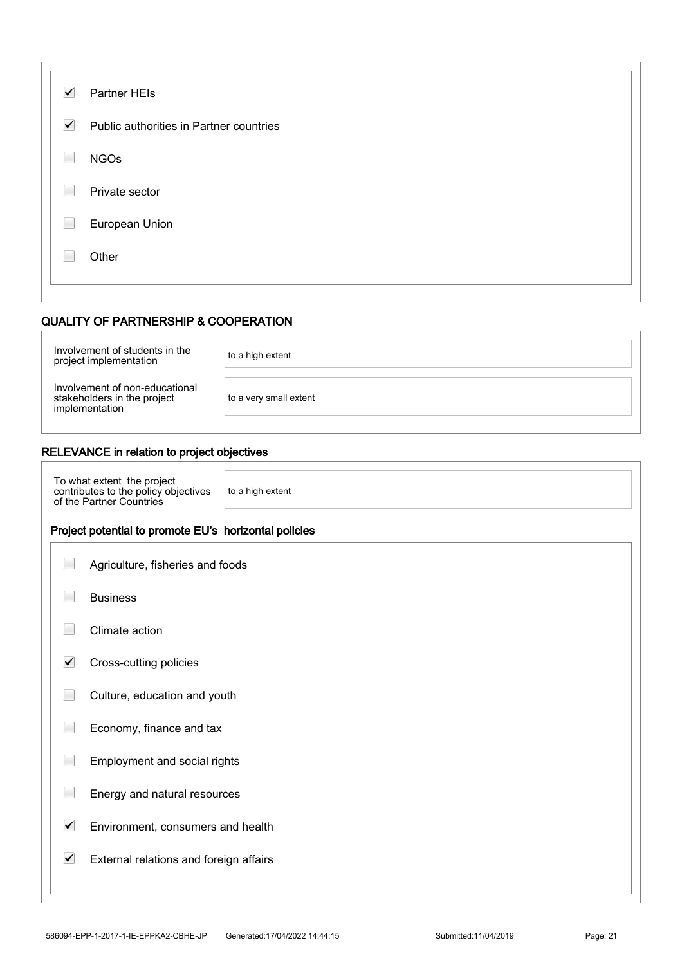| $\blacktriangledown$ | Partner HEIs                            |
|----------------------|-----------------------------------------|
| $\blacktriangledown$ | Public authorities in Partner countries |
| ۰                    | <b>NGOs</b>                             |
|                      | Private sector                          |
|                      | European Union                          |
|                      | Other                                   |
|                      |                                         |

#### QUALITY OF PARTNERSHIP & COOPERATION

| Involvement of students in the<br>project implementation                        | to a high extent       |
|---------------------------------------------------------------------------------|------------------------|
| Involvement of non-educational<br>stakeholders in the project<br>implementation | to a very small extent |

## RELEVANCE in relation to project objectives

To what extent the project contributes to the policy objectives of the Partner Countries

to a high extent

#### Project potential to promote EU's horizontal policies

| Agriculture, fisheries and foods |  |  |
|----------------------------------|--|--|

| <b>Business</b> |
|-----------------|
|-----------------|

İ

**Climate action** 

- $\blacktriangledown$ Cross-cutting policies
- **Culture, education and youth**
- Economy, finance and tax
- $\Box$ Employment and social rights
- $\Box$ Energy and natural resources
- $\blacktriangledown$ Environment, consumers and health

#### $\blacktriangledown$ External relations and foreign affairs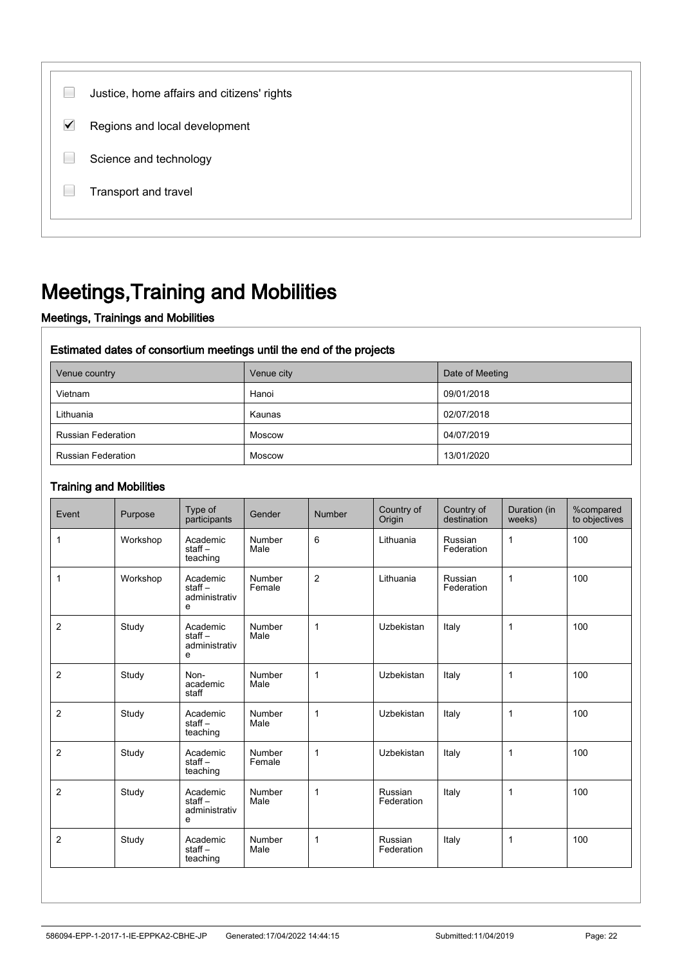| Justice, home affairs and citizens' rights |  |
|--------------------------------------------|--|
| ✓<br>Regions and local development         |  |
| Science and technology                     |  |
| Transport and travel                       |  |
|                                            |  |

## Meetings,Training and Mobilities

## Meetings, Trainings and Mobilities

### Estimated dates of consortium meetings until the end of the projects

| Venue country             | Venue city | Date of Meeting |  |
|---------------------------|------------|-----------------|--|
| Vietnam                   | Hanoi      | 09/01/2018      |  |
| Lithuania                 | Kaunas     | 02/07/2018      |  |
| <b>Russian Federation</b> | Moscow     | 04/07/2019      |  |
| <b>Russian Federation</b> | Moscow     | 13/01/2020      |  |

#### Training and Mobilities

| Event          | Purpose  | Type of<br>participants                    | Gender                | Number         | Country of<br>Origin  | Country of<br>destination | Duration (in<br>weeks) | %compared<br>to objectives |
|----------------|----------|--------------------------------------------|-----------------------|----------------|-----------------------|---------------------------|------------------------|----------------------------|
| 1              | Workshop | Academic<br>$stat -$<br>teaching           | Number<br>Male        | 6              | Lithuania             | Russian<br>Federation     | 1                      | 100                        |
| $\mathbf{1}$   | Workshop | Academic<br>$stat -$<br>administrativ<br>e | Number<br>Female      | $\overline{2}$ | Lithuania             | Russian<br>Federation     | $\mathbf{1}$           | 100                        |
| $\overline{2}$ | Study    | Academic<br>$stat -$<br>administrativ<br>e | Number<br>Male        | $\mathbf{1}$   | Uzbekistan            | Italy                     | 1                      | 100                        |
| 2              | Study    | Non-<br>academic<br>staff                  | Number<br>Male        | $\mathbf{1}$   | <b>Uzbekistan</b>     | Italy                     | $\mathbf{1}$           | 100                        |
| 2              | Study    | Academic<br>staff $-$<br>teaching          | Number<br>Male        | $\mathbf{1}$   | Uzbekistan            | Italy                     | 1                      | 100                        |
| $\overline{2}$ | Study    | Academic<br>$stat -$<br>teaching           | Number<br>Female      | $\mathbf{1}$   | Uzbekistan            | Italy                     | $\mathbf{1}$           | 100                        |
| $\overline{2}$ | Study    | Academic<br>$stat -$<br>administrativ<br>e | Number<br>Male        | $\mathbf{1}$   | Russian<br>Federation | Italy                     | $\mathbf{1}$           | 100                        |
| 2              | Study    | Academic<br>staff $-$<br>teaching          | <b>Number</b><br>Male | $\mathbf 1$    | Russian<br>Federation | Italy                     | $\mathbf{1}$           | 100                        |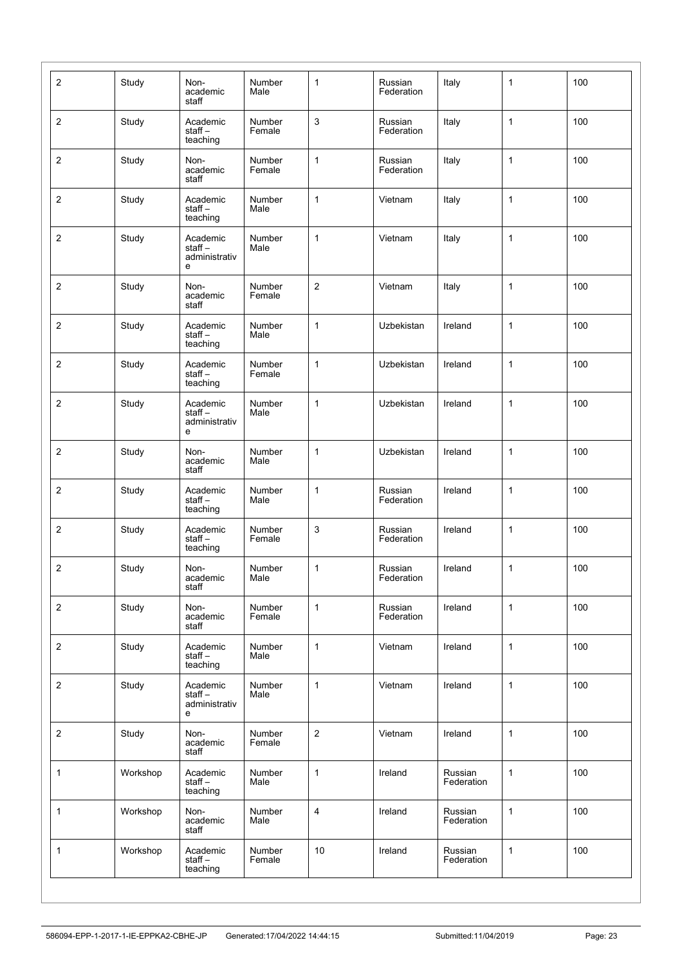| $\boldsymbol{2}$        | Study    | Non-<br>academic<br>staff                   | Number<br>Male   | 1              | Russian<br>Federation | Italy                 | $\mathbf{1}$ | 100 |
|-------------------------|----------|---------------------------------------------|------------------|----------------|-----------------------|-----------------------|--------------|-----|
| $\overline{c}$          | Study    | Academic<br>staff $-$<br>teaching           | Number<br>Female | 3              | Russian<br>Federation | Italy                 | $\mathbf{1}$ | 100 |
| $\sqrt{2}$              | Study    | Non-<br>academic<br>staff                   | Number<br>Female | $\mathbf{1}$   | Russian<br>Federation | Italy                 | $\mathbf{1}$ | 100 |
| $\boldsymbol{2}$        | Study    | Academic<br>staff-<br>teaching              | Number<br>Male   | $\mathbf{1}$   | Vietnam               | Italy                 | $\mathbf{1}$ | 100 |
| $\boldsymbol{2}$        | Study    | Academic<br>$stat -$<br>administrativ<br>е  | Number<br>Male   | $\mathbf 1$    | Vietnam               | Italy                 | $\mathbf{1}$ | 100 |
| $\overline{c}$          | Study    | Non-<br>academic<br>staff                   | Number<br>Female | $\overline{c}$ | Vietnam               | Italy                 | $\mathbf{1}$ | 100 |
| $\sqrt{2}$              | Study    | Academic<br>staff-<br>teaching              | Number<br>Male   | $\mathbf{1}$   | Uzbekistan            | Ireland               | $\mathbf{1}$ | 100 |
| $\boldsymbol{2}$        | Study    | Academic<br>staff $-$<br>teaching           | Number<br>Female | $\mathbf{1}$   | Uzbekistan            | Ireland               | $\mathbf{1}$ | 100 |
| $\overline{c}$          | Study    | Academic<br>staff $-$<br>administrativ<br>е | Number<br>Male   | $\mathbf 1$    | Uzbekistan            | Ireland               | 1            | 100 |
| $\overline{c}$          | Study    | Non-<br>academic<br>staff                   | Number<br>Male   | $\mathbf{1}$   | Uzbekistan            | Ireland               | $\mathbf{1}$ | 100 |
| $\sqrt{2}$              | Study    | Academic<br>staff-<br>teaching              | Number<br>Male   | $\mathbf{1}$   | Russian<br>Federation | Ireland               | $\mathbf{1}$ | 100 |
| $\boldsymbol{2}$        | Study    | Academic<br>staff-<br>teaching              | Number<br>Female | 3              | Russian<br>Federation | Ireland               | $\mathbf{1}$ | 100 |
| $\overline{c}$          | Study    | Non-<br>academic<br>staff                   | Number<br>Male   | $\mathbf{1}$   | Russian<br>Federation | Ireland               | 1            | 100 |
| $\overline{c}$          | Study    | Non-<br>academic<br>staff                   | Number<br>Female | $\mathbf{1}$   | Russian<br>Federation | Ireland               | $\mathbf{1}$ | 100 |
| $\sqrt{2}$              | Study    | Academic<br>staff-<br>teaching              | Number<br>Male   | $\mathbf{1}$   | Vietnam               | Ireland               | $\mathbf{1}$ | 100 |
| $\sqrt{2}$              | Study    | Academic<br>staff-<br>administrativ<br>е    | Number<br>Male   | $\mathbf{1}$   | Vietnam               | Ireland               | $\mathbf{1}$ | 100 |
| $\overline{\mathbf{c}}$ | Study    | Non-<br>academic<br>staff                   | Number<br>Female | $\overline{c}$ | Vietnam               | Ireland               | $\mathbf{1}$ | 100 |
| $\mathbf{1}$            | Workshop | Academic<br>staff-<br>teaching              | Number<br>Male   | $\mathbf{1}$   | Ireland               | Russian<br>Federation | $\mathbf{1}$ | 100 |
| $\mathbf{1}$            | Workshop | Non-<br>academic<br>staff                   | Number<br>Male   | $\overline{4}$ | Ireland               | Russian<br>Federation | 1            | 100 |
| $\mathbf{1}$            | Workshop | Academic<br>staff-<br>teaching              | Number<br>Female | 10             | Ireland               | Russian<br>Federation | $\mathbf{1}$ | 100 |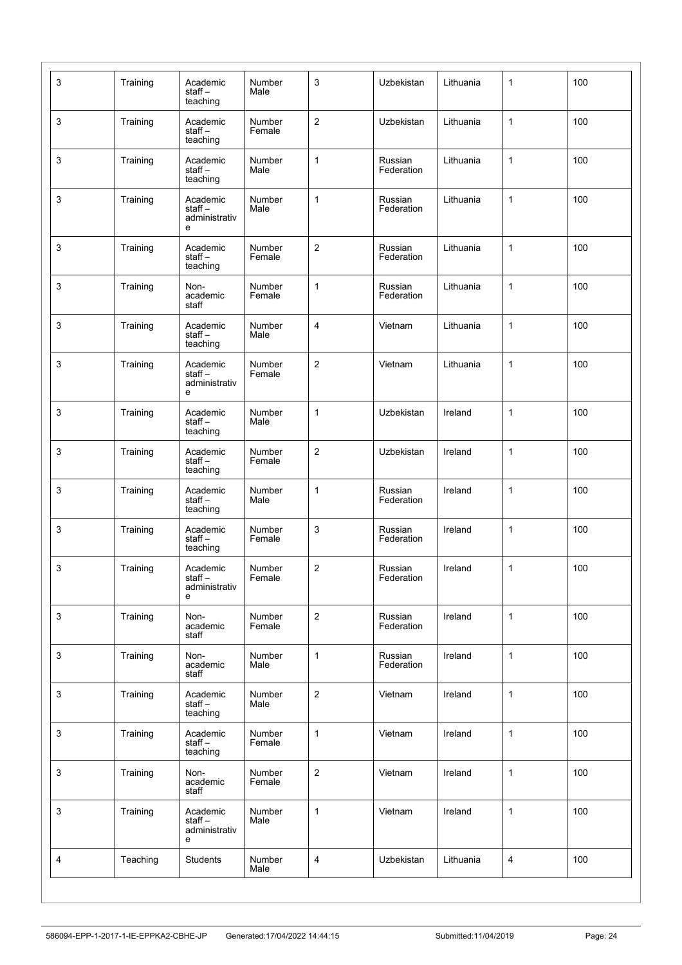| 3            | Training | Academic<br>staff $-$<br>teaching           | Number<br>Male   | 3              | Uzbekistan            | Lithuania | $\mathbf{1}$ | 100 |
|--------------|----------|---------------------------------------------|------------------|----------------|-----------------------|-----------|--------------|-----|
| 3            | Training | Academic<br>staff $-$<br>teaching           | Number<br>Female | $\overline{c}$ | Uzbekistan            | Lithuania | 1            | 100 |
| 3            | Training | Academic<br>staff-<br>teaching              | Number<br>Male   | $\mathbf{1}$   | Russian<br>Federation | Lithuania | $\mathbf{1}$ | 100 |
| 3            | Training | Academic<br>staff $-$<br>administrativ<br>е | Number<br>Male   | 1              | Russian<br>Federation | Lithuania | $\mathbf{1}$ | 100 |
| 3            | Training | Academic<br>staff-<br>teaching              | Number<br>Female | $\sqrt{2}$     | Russian<br>Federation | Lithuania | $\mathbf{1}$ | 100 |
| 3            | Training | Non-<br>academic<br>staff                   | Number<br>Female | $\mathbf{1}$   | Russian<br>Federation | Lithuania | 1            | 100 |
| 3            | Training | Academic<br>staff-<br>teaching              | Number<br>Male   | 4              | Vietnam               | Lithuania | 1            | 100 |
| 3            | Training | Academic<br>staff-<br>administrativ<br>е    | Number<br>Female | $\sqrt{2}$     | Vietnam               | Lithuania | 1            | 100 |
| 3            | Training | Academic<br>staff-<br>teaching              | Number<br>Male   | 1              | Uzbekistan            | Ireland   | $\mathbf{1}$ | 100 |
| 3            | Training | Academic<br>staff $-$<br>teaching           | Number<br>Female | $\overline{2}$ | Uzbekistan            | Ireland   | $\mathbf{1}$ | 100 |
| 3            | Training | Academic<br>staff-<br>teaching              | Number<br>Male   | $\mathbf{1}$   | Russian<br>Federation | Ireland   | $\mathbf{1}$ | 100 |
| 3            | Training | Academic<br>staff-<br>teaching              | Number<br>Female | 3              | Russian<br>Federation | Ireland   | $\mathbf{1}$ | 100 |
| 3            | Training | Academic<br>staff-<br>administrativ<br>е    | Number<br>Female | $\overline{c}$ | Russian<br>Federation | Ireland   | 1            | 100 |
| $\mathbf{3}$ | Training | Non-<br>academic<br>staff                   | Number<br>Female | $\sqrt{2}$     | Russian<br>Federation | Ireland   | $\mathbf{1}$ | 100 |
| $\mathbf{3}$ | Training | Non-<br>academic<br>staff                   | Number<br>Male   | $\mathbf{1}$   | Russian<br>Federation | Ireland   | $\mathbf{1}$ | 100 |
| $\mathsf 3$  | Training | Academic<br>staff $-$<br>teaching           | Number<br>Male   | $\overline{2}$ | Vietnam               | Ireland   | $\mathbf{1}$ | 100 |
| 3            | Training | Academic<br>staff $-$<br>teaching           | Number<br>Female | $\mathbf{1}$   | Vietnam               | Ireland   | $\mathbf{1}$ | 100 |
| 3            | Training | Non-<br>academic<br>staff                   | Number<br>Female | $\overline{2}$ | Vietnam               | Ireland   | $\mathbf{1}$ | 100 |
| $\mathbf{3}$ | Training | Academic<br>staff-<br>administrativ<br>е    | Number<br>Male   | $\mathbf{1}$   | Vietnam               | Ireland   | $\mathbf{1}$ | 100 |
| 4            | Teaching | Students                                    | Number<br>Male   | 4              | Uzbekistan            | Lithuania | 4            | 100 |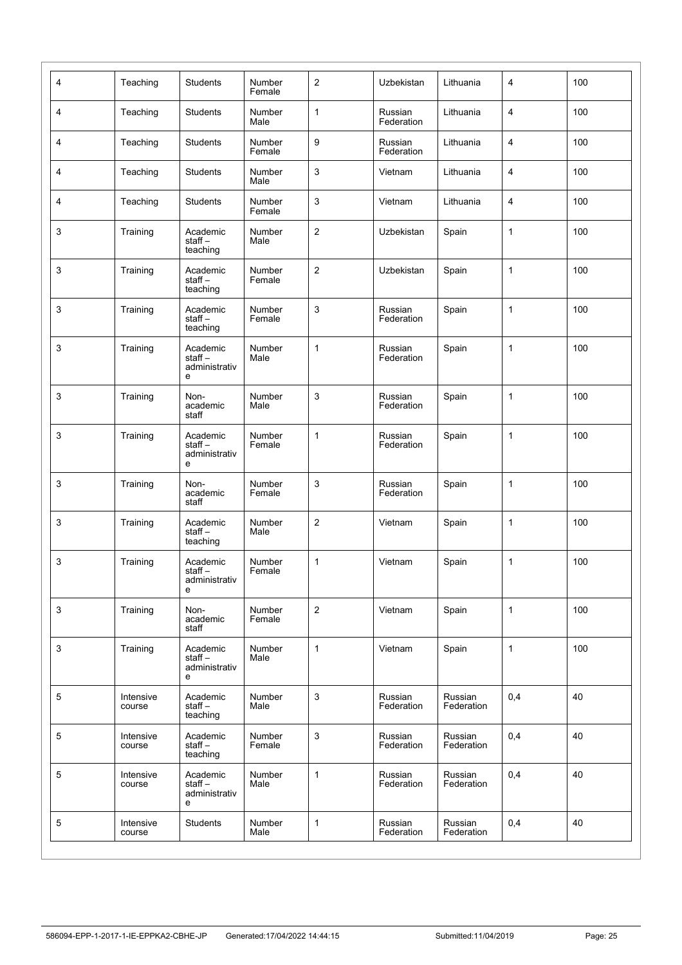| $\overline{4}$  | Teaching            | <b>Students</b>                             | Number<br>Female | $\overline{2}$ | Uzbekistan            | Lithuania             | 4            | 100 |
|-----------------|---------------------|---------------------------------------------|------------------|----------------|-----------------------|-----------------------|--------------|-----|
| 4               | Teaching            | <b>Students</b>                             | Number<br>Male   | $\mathbf{1}$   | Russian<br>Federation | Lithuania             | 4            | 100 |
| 4               | Teaching            | <b>Students</b>                             | Number<br>Female | 9              | Russian<br>Federation | Lithuania             | 4            | 100 |
| 4               | Teaching            | Students                                    | Number<br>Male   | 3              | Vietnam               | Lithuania             | 4            | 100 |
| 4               | Teaching            | <b>Students</b>                             | Number<br>Female | 3              | Vietnam               | Lithuania             | 4            | 100 |
| 3               | Training            | Academic<br>staff-<br>teaching              | Number<br>Male   | $\sqrt{2}$     | Uzbekistan            | Spain                 | $\mathbf{1}$ | 100 |
| 3               | Training            | Academic<br>staff-<br>teaching              | Number<br>Female | $\overline{2}$ | Uzbekistan            | Spain                 | $\mathbf{1}$ | 100 |
| 3               | Training            | Academic<br>staff $-$<br>teaching           | Number<br>Female | 3              | Russian<br>Federation | Spain                 | $\mathbf{1}$ | 100 |
| 3               | Training            | Academic<br>staff $-$<br>administrativ<br>е | Number<br>Male   | $\mathbf{1}$   | Russian<br>Federation | Spain                 | $\mathbf{1}$ | 100 |
| 3               | Training            | Non-<br>academic<br>staff                   | Number<br>Male   | 3              | Russian<br>Federation | Spain                 | $\mathbf{1}$ | 100 |
| 3               | Training            | Academic<br>staff $-$<br>administrativ<br>е | Number<br>Female | $\mathbf{1}$   | Russian<br>Federation | Spain                 | $\mathbf{1}$ | 100 |
| 3               | Training            | Non-<br>academic<br>staff                   | Number<br>Female | 3              | Russian<br>Federation | Spain                 | $\mathbf{1}$ | 100 |
| 3               | Training            | Academic<br>staff-<br>teaching              | Number<br>Male   | 2              | Vietnam               | Spain                 | $\mathbf{1}$ | 100 |
| 3               | Training            | Academic<br>staff-<br>administrativ<br>e    | Number<br>Female | 1              | Vietnam               | Spain                 | 1            | 100 |
| 3               | Training            | Non-<br>academic<br>staff                   | Number<br>Female | $\sqrt{2}$     | Vietnam               | Spain                 | $\mathbf{1}$ | 100 |
| $\mathsf 3$     | Training            | Academic<br>staff-<br>administrativ<br>е    | Number<br>Male   | $\mathbf{1}$   | Vietnam               | Spain                 | $\mathbf{1}$ | 100 |
| 5               | Intensive<br>course | Academic<br>staff-<br>teaching              | Number<br>Male   | $\mathsf 3$    | Russian<br>Federation | Russian<br>Federation | 0,4          | 40  |
| $5\phantom{.0}$ | Intensive<br>course | Academic<br>staff-<br>teaching              | Number<br>Female | $\mathbf{3}$   | Russian<br>Federation | Russian<br>Federation | 0,4          | 40  |
| 5               | Intensive<br>course | Academic<br>staff-<br>administrativ<br>е    | Number<br>Male   | $\mathbf{1}$   | Russian<br>Federation | Russian<br>Federation | 0,4          | 40  |
| 5               | Intensive<br>course | <b>Students</b>                             | Number<br>Male   | $\mathbf{1}$   | Russian<br>Federation | Russian<br>Federation | 0,4          | 40  |